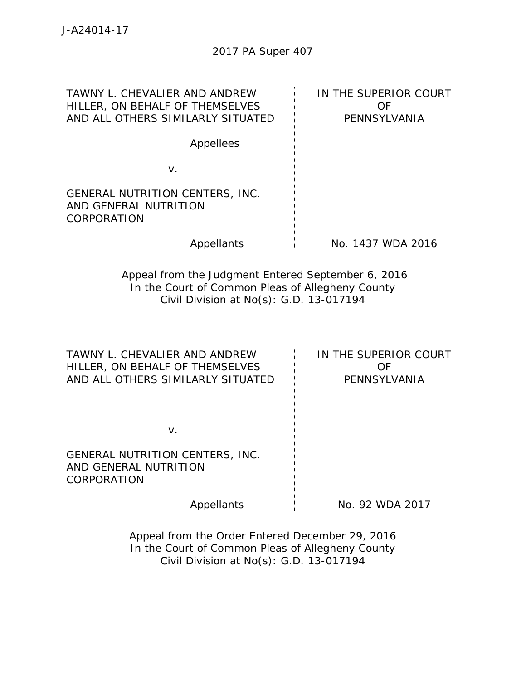| TAWNY L. CHEVALIER AND ANDREW<br>HILLER, ON BEHALF OF THEMSELVES<br>AND ALL OTHERS SIMILARLY SITUATED                                             | IN THE SUPERIOR COURT<br>OF<br>PENNSYLVANIA |
|---------------------------------------------------------------------------------------------------------------------------------------------------|---------------------------------------------|
| Appellees                                                                                                                                         |                                             |
| V.                                                                                                                                                |                                             |
| GENERAL NUTRITION CENTERS, INC.<br>AND GENERAL NUTRITION<br>CORPORATION                                                                           |                                             |
| Appellants                                                                                                                                        | No. 1437 WDA 2016                           |
| Appeal from the Judgment Entered September 6, 2016<br>In the Court of Common Pleas of Allegheny County<br>Civil Division at No(s): G.D. 13-017194 |                                             |
| TAWNY L. CHEVALIER AND ANDREW<br>HILLER, ON BEHALF OF THEMSELVES<br>AND ALL OTHERS SIMILARLY SITUATED                                             | IN THE SUPERIOR COURT<br>OF<br>PENNSYLVANIA |
| V.                                                                                                                                                |                                             |
| GENERAL NUTRITION CENTERS, INC.<br>AND GENERAL NUTRITION<br>CORPORATION                                                                           |                                             |
| Appellants                                                                                                                                        | No. 92 WDA 2017                             |

Appeal from the Order Entered December 29, 2016 In the Court of Common Pleas of Allegheny County Civil Division at No(s): G.D. 13-017194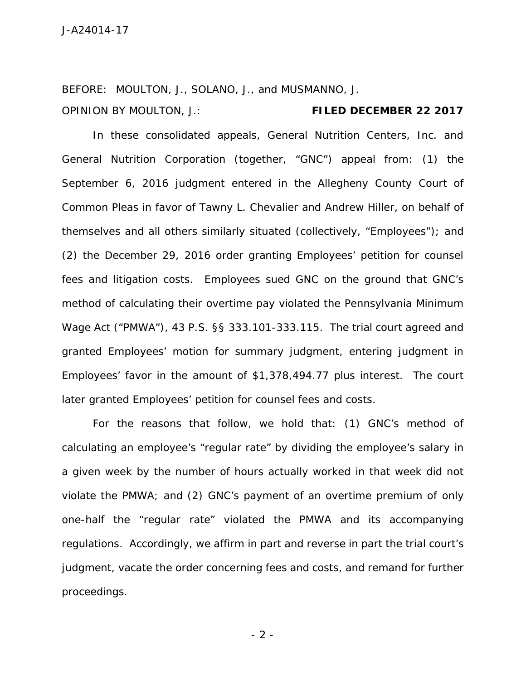BEFORE: MOULTON, J., SOLANO, J., and MUSMANNO, J. OPINION BY MOULTON, J.: **FILED DECEMBER 22 2017**

In these consolidated appeals, General Nutrition Centers, Inc. and General Nutrition Corporation (together, "GNC") appeal from: (1) the September 6, 2016 judgment entered in the Allegheny County Court of Common Pleas in favor of Tawny L. Chevalier and Andrew Hiller, on behalf of themselves and all others similarly situated (collectively, "Employees"); and (2) the December 29, 2016 order granting Employees' petition for counsel fees and litigation costs. Employees sued GNC on the ground that GNC's method of calculating their overtime pay violated the Pennsylvania Minimum Wage Act ("PMWA"), 43 P.S. §§ 333.101-333.115*.* The trial court agreed and granted Employees' motion for summary judgment, entering judgment in Employees' favor in the amount of \$1,378,494.77 plus interest. The court later granted Employees' petition for counsel fees and costs.

For the reasons that follow, we hold that: (1) GNC's method of calculating an employee's "regular rate" by dividing the employee's salary in a given week by the number of hours actually worked in that week did not violate the PMWA; and (2) GNC's payment of an overtime premium of only one-half the "regular rate" violated the PMWA and its accompanying regulations. Accordingly, we affirm in part and reverse in part the trial court's judgment, vacate the order concerning fees and costs, and remand for further proceedings.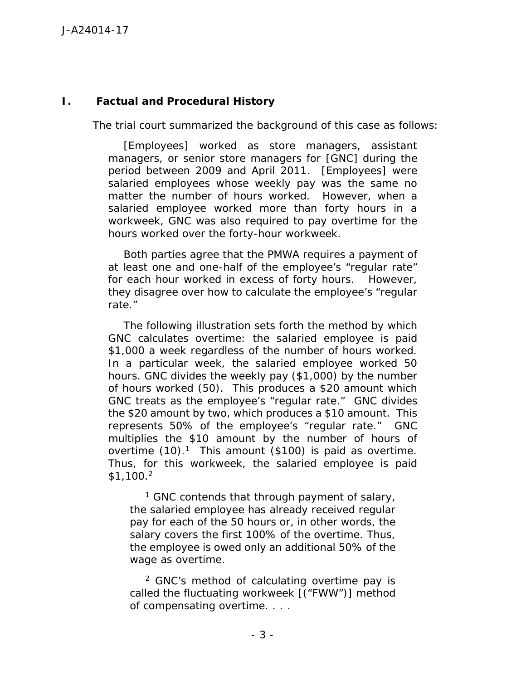## **I. Factual and Procedural History**

The trial court summarized the background of this case as follows:

[Employees] worked as store managers, assistant managers, or senior store managers for [GNC] during the period between 2009 and April 2011. [Employees] were salaried employees whose weekly pay was the same no matter the number of hours worked. However, when a salaried employee worked more than forty hours in a workweek, GNC was also required to pay overtime for the hours worked over the forty-hour workweek.

Both parties agree that the PMWA requires a payment of at least one and one-half of the employee's "regular rate" for each hour worked in excess of forty hours. However, they disagree over how to calculate the employee's "regular rate."

The following illustration sets forth the method by which GNC calculates overtime: the salaried employee is paid \$1,000 a week regardless of the number of hours worked. In a particular week, the salaried employee worked 50 hours. GNC divides the weekly pay (\$1,000) by the number of hours worked (50). This produces a \$20 amount which GNC treats as the employee's "regular rate." GNC divides the \$20 amount by two, which produces a \$10 amount. This represents 50% of the employee's "regular rate." GNC multiplies the \$10 amount by the number of hours of overtime  $(10).<sup>1</sup>$  This amount (\$100) is paid as overtime. Thus, for this workweek, the salaried employee is paid \$1,100.<sup>2</sup>

<sup>1</sup> GNC contends that through payment of salary, the salaried employee has already received regular pay for each of the 50 hours or, in other words, the salary covers the first 100% of the overtime. Thus, the employee is owed only an additional 50% of the wage as overtime.

<sup>2</sup> GNC's method of calculating overtime pay is called the fluctuating workweek [("FWW")] method of compensating overtime. . . .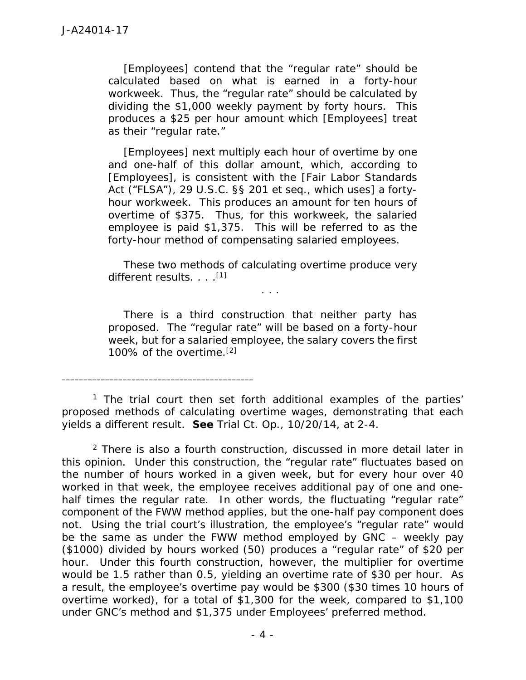[Employees] contend that the "regular rate" should be calculated based on what is earned in a forty-hour workweek. Thus, the "regular rate" should be calculated by dividing the \$1,000 weekly payment by forty hours. This produces a \$25 per hour amount which [Employees] treat as their "regular rate."

[Employees] next multiply each hour of overtime by one and one-half of this dollar amount, which, according to [Employees], is consistent with the [Fair Labor Standards Act ("FLSA"), 29 U.S.C. §§ 201 *et seq.*, which uses] a forty hour workweek. This produces an amount for ten hours of overtime of \$375. Thus, for this workweek, the salaried employee is paid \$1,375. This will be referred to as the *forty-hour method* of compensating salaried employees.

These two methods of calculating overtime produce very different results. . . .<sup>[1]</sup>

. . .

There is a third construction that neither party has proposed. The "regular rate" will be based on a forty-hour week, but for a salaried employee, the salary covers the first 100% of the overtime.[2]

<sup>1</sup> The trial court then set forth additional examples of the parties' proposed methods of calculating overtime wages, demonstrating that each yields a different result. *See* Trial Ct. Op., 10/20/14, at 2-4.

\_\_\_\_\_\_\_\_\_\_\_\_\_\_\_\_\_\_\_\_\_\_\_\_\_\_\_\_\_\_\_\_\_\_\_\_\_\_\_\_\_\_\_\_

 $2$  There is also a fourth construction, discussed in more detail later in this opinion. Under this construction, the "regular rate" fluctuates based on the number of hours worked in a given week, but for every hour over 40 worked in that week, the employee receives additional pay of one and one half times the regular rate. In other words, the fluctuating "regular rate" component of the FWW method applies, but the one-half pay component does not. Using the trial court's illustration, the employee's "regular rate" would be the same as under the FWW method employed by GNC – weekly pay (\$1000) divided by hours worked (50) produces a "regular rate" of \$20 per hour. Under this fourth construction, however, the multiplier for overtime would be 1.5 rather than 0.5, yielding an overtime rate of \$30 per hour. As a result, the employee's overtime pay would be \$300 (\$30 times 10 hours of overtime worked), for a total of \$1,300 for the week, compared to \$1,100 under GNC's method and \$1,375 under Employees' preferred method.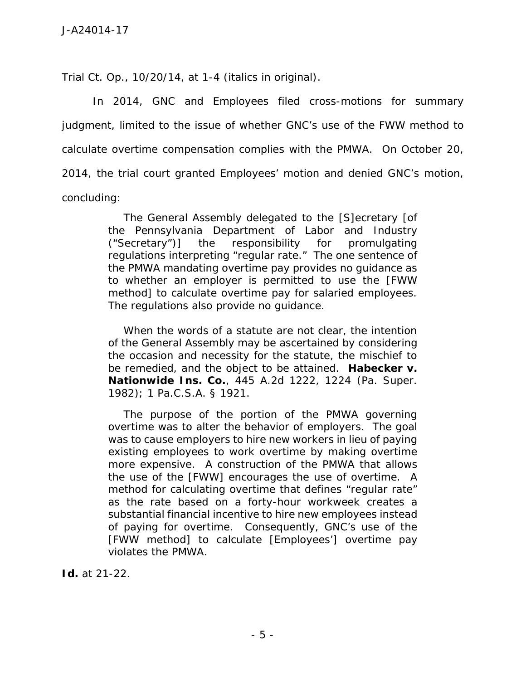Trial Ct. Op., 10/20/14, at 1-4 (italics in original).

In 2014, GNC and Employees filed cross-motions for summary judgment, limited to the issue of whether GNC's use of the FWW method to calculate overtime compensation complies with the PMWA. On October 20, 2014, the trial court granted Employees' motion and denied GNC's motion, concluding:

> The General Assembly delegated to the [S]ecretary [of the Pennsylvania Department of Labor and Industry ("Secretary")] the responsibility for promulgating regulations interpreting "regular rate." The one sentence of the PMWA mandating overtime pay provides no guidance as to whether an employer is permitted to use the [FWW method] to calculate overtime pay for salaried employees. The regulations also provide no guidance.

> When the words of a statute are not clear, the intention of the General Assembly may be ascertained by considering the occasion and necessity for the statute, the mischief to be remedied, and the object to be attained. *Habecker v. Nationwide Ins. Co.*, 445 A.2d 1222, 1224 (Pa. Super. 1982); 1 Pa.C.S.A. § 1921.

> The purpose of the portion of the PMWA governing overtime was to alter the behavior of employers. The goal was to cause employers to hire new workers in lieu of paying existing employees to work overtime by making overtime more expensive. A construction of the PMWA that allows the use of the [FWW] encourages the use of overtime. A method for calculating overtime that defines "regular rate" as the rate based on a forty-hour workweek creates a substantial financial incentive to hire new employees instead of paying for overtime. Consequently, GNC's use of the [FWW method] to calculate [Employees'] overtime pay violates the PMWA.

*Id.* at 21-22.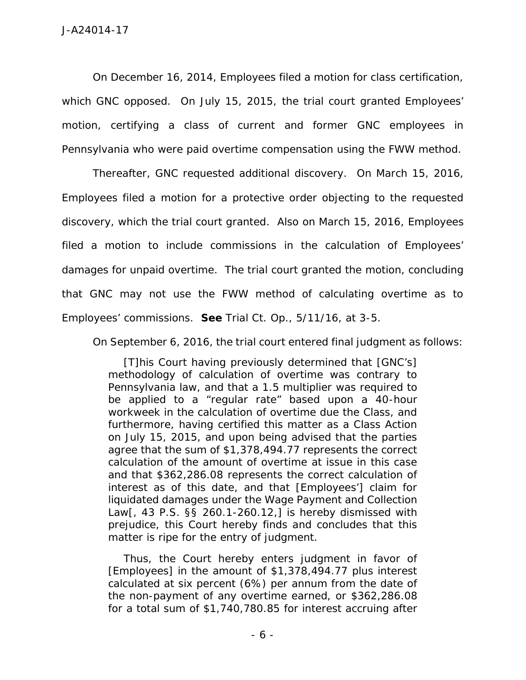On December 16, 2014, Employees filed a motion for class certification, which GNC opposed. On July 15, 2015, the trial court granted Employees' motion, certifying a class of current and former GNC employees in Pennsylvania who were paid overtime compensation using the FWW method.

Thereafter, GNC requested additional discovery. On March 15, 2016, Employees filed a motion for a protective order objecting to the requested discovery, which the trial court granted. Also on March 15, 2016, Employees filed a motion to include commissions in the calculation of Employees' damages for unpaid overtime. The trial court granted the motion, concluding that GNC may not use the FWW method of calculating overtime as to Employees' commissions. *See* Trial Ct. Op., 5/11/16, at 3-5.

On September 6, 2016, the trial court entered final judgment as follows:

[T]his Court having previously determined that [GNC's] methodology of calculation of overtime was contrary to Pennsylvania law, and that a 1.5 multiplier was required to be applied to a "regular rate" based upon a 40-hour workweek in the calculation of overtime due the Class, and furthermore, having certified this matter as a Class Action on July 15, 2015, and upon being advised that the parties agree that the sum of \$1,378,494.77 represents the correct calculation of the amount of overtime at issue in this case and that \$362,286.08 represents the correct calculation of interest as of this date, and that [Employees'] claim for liquidated damages under the Wage Payment and Collection Law[, 43 P.S. §§ 260.1-260.12,] is hereby dismissed with prejudice, this Court hereby finds and concludes that this matter is ripe for the entry of judgment.

Thus, the Court hereby enters judgment in favor of [Employees] in the amount of \$1,378,494.77 plus interest calculated at six percent (6%) per annum from the date of the non-payment of any overtime earned, or \$362,286.08 for a total sum of \$1,740,780.85 for interest accruing after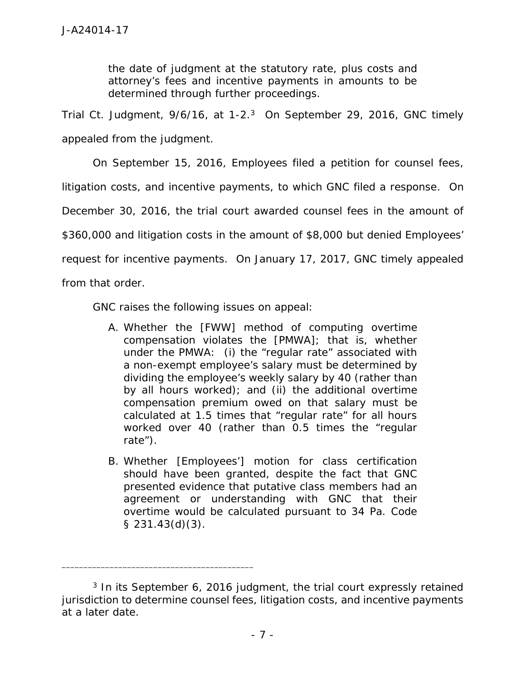the date of judgment at the statutory rate, plus costs and attorney's fees and incentive payments in amounts to be determined through further proceedings.

Trial Ct. Judgment,  $9/6/16$ , at  $1-2<sup>3</sup>$  On September 29, 2016, GNC timely appealed from the judgment.

On September 15, 2016, Employees filed a petition for counsel fees, litigation costs, and incentive payments, to which GNC filed a response. On December 30, 2016, the trial court awarded counsel fees in the amount of \$360,000 and litigation costs in the amount of \$8,000 but denied Employees' request for incentive payments. On January 17, 2017, GNC timely appealed

from that order.

GNC raises the following issues on appeal:

- A. Whether the [FWW] method of computing overtime compensation violates the [PMWA]; that is, whether under the PMWA: (i) the "regular rate" associated with a non-exempt employee's salary must be determined by dividing the employee's weekly salary by 40 (rather than by all hours worked); and (ii) the additional overtime compensation premium owed on that salary must be calculated at 1.5 times that "regular rate" for all hours worked over 40 (rather than 0.5 times the "regular rate").
- B. Whether [Employees'] motion for class certification should have been granted, despite the fact that GNC presented evidence that putative class members had an agreement or understanding with GNC that their overtime would be calculated pursuant to 34 Pa. Code § 231.43(d)(3).

<sup>&</sup>lt;sup>3</sup> In its September 6, 2016 judgment, the trial court expressly retained jurisdiction to determine counsel fees, litigation costs, and incentive payments at a later date.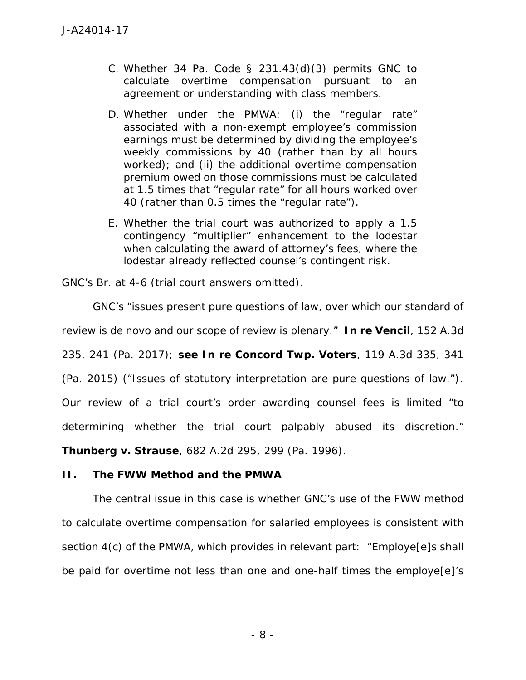- C. Whether 34 Pa. Code  $\S$  231.43(d)(3) permits GNC to calculate overtime compensation pursuant to an agreement or understanding with class members.
- D. Whether under the PMWA: (i) the "regular rate" associated with a non-exempt employee's commission earnings must be determined by dividing the employee's weekly commissions by 40 (rather than by all hours worked); and (ii) the additional overtime compensation premium owed on those commissions must be calculated at 1.5 times that "regular rate" for all hours worked over 40 (rather than 0.5 times the "regular rate").
- E. Whether the trial court was authorized to apply a 1.5 contingency "multiplier" enhancement to the lodestar when calculating the award of attorney's fees, where the lodestar already reflected counsel's contingent risk.

GNC's Br. at 4-6 (trial court answers omitted).

GNC's "issues present pure questions of law, over which our standard of review is *de novo* and our scope of review is plenary." *In re Vencil*, 152 A.3d 235, 241 (Pa. 2017); *see In re Concord Twp. Voters*, 119 A.3d 335, 341 (Pa. 2015) ("Issues of statutory interpretation are pure questions of law."). Our review of a trial court's order awarding counsel fees is limited "to determining whether the trial court palpably abused its discretion." *Thunberg v. Strause*, 682 A.2d 295, 299 (Pa. 1996).

**II. The FWW Method and the PMWA**

The central issue in this case is whether GNC's use of the FWW method to calculate overtime compensation for salaried employees is consistent with section 4(c) of the PMWA, which provides in relevant part: "Employe[e]s shall be paid for overtime not less than one and one-half times the employe[e]'s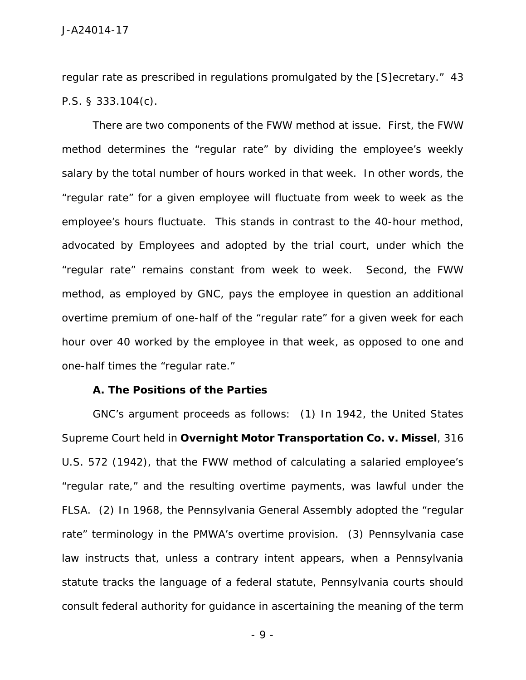regular rate as prescribed in regulations promulgated by the [S]ecretary." 43 P.S. § 333.104(c).

There are two components of the FWW method at issue. First, the FWW method determines the "regular rate" by dividing the employee's weekly salary by the total number of hours worked in that week. In other words, the "regular rate" for a given employee will fluctuate from week to week as the employee's hours fluctuate. This stands in contrast to the 40-hour method, advocated by Employees and adopted by the trial court, under which the "regular rate" remains constant from week to week. Second, the FWW method, as employed by GNC, pays the employee in question an additional overtime premium of one-half of the "regular rate" for a given week for each hour over 40 worked by the employee in that week, as opposed to one and one-half times the "regular rate."

**A. The Positions of the Parties**

GNC's argument proceeds as follows: (1) In 1942, the United States Supreme Court held in *Overnight Motor Transportation Co. v. Missel*, 316 U.S. 572 (1942), that the FWW method of calculating a salaried employee's "regular rate," and the resulting overtime payments, was lawful under the FLSA. (2) In 1968, the Pennsylvania General Assembly adopted the "regular rate" terminology in the PMWA's overtime provision. (3) Pennsylvania case law instructs that, unless a contrary intent appears, when a Pennsylvania statute tracks the language of a federal statute, Pennsylvania courts should consult federal authority for guidance in ascertaining the meaning of the term

- 9 -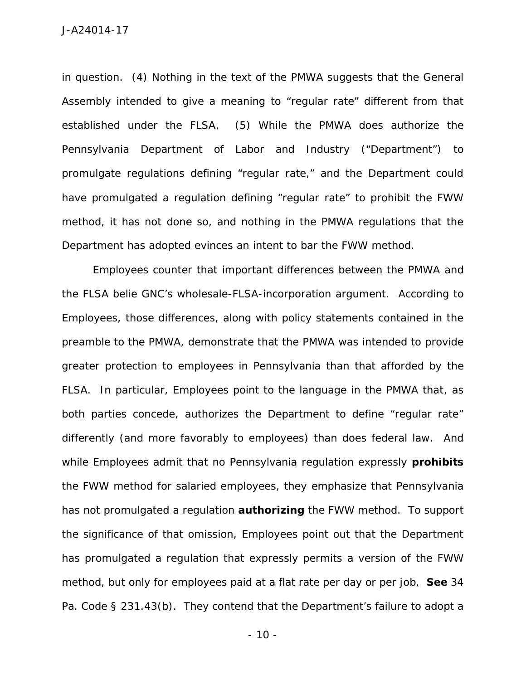in question. (4) Nothing in the text of the PMWA suggests that the General Assembly intended to give a meaning to "regular rate" different from that established under the FLSA. (5) While the PMWA does authorize the Pennsylvania Department of Labor and Industry ("Department") to promulgate regulations defining "regular rate," and the Department could have promulgated a regulation defining "regular rate" to prohibit the FWW method, it has not done so, and nothing in the PMWA regulations that the Department has adopted evinces an intent to bar the FWW method.

Employees counter that important differences between the PMWA and the FLSA belie GNC's wholesale-FLSA-incorporation argument. According to Employees, those differences, along with policy statements contained in the preamble to the PMWA, demonstrate that the PMWA was intended to provide greater protection to employees in Pennsylvania than that afforded by the FLSA. In particular, Employees point to the language in the PMWA that, as both parties concede, authorizes the Department to define "regular rate" differently (and more favorably to employees) than does federal law. And while Employees admit that no Pennsylvania regulation expressly **prohibits** the FWW method for salaried employees, they emphasize that Pennsylvania has not promulgated a regulation **authorizing** the FWW method. To support the significance of that omission, Employees point out that the Department has promulgated a regulation that expressly permits a version of the FWW method, but only for employees paid at a flat rate per day or per job. *See* 34 Pa. Code § 231.43(b). They contend that the Department's failure to adopt a

 $-10 -$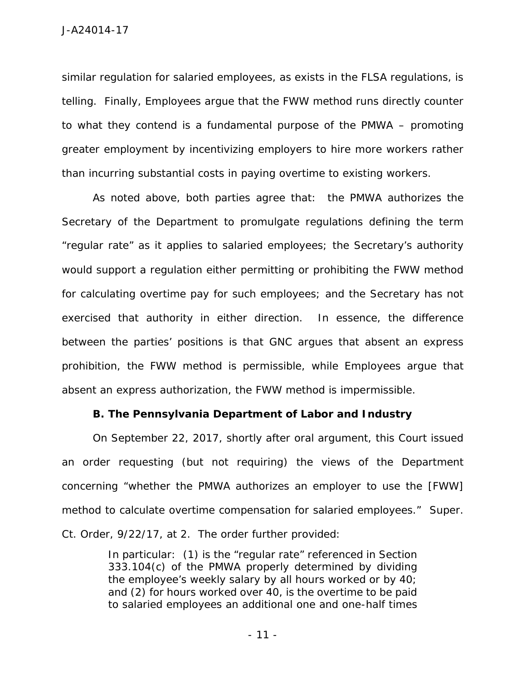similar regulation for salaried employees, as exists in the FLSA regulations, is telling. Finally, Employees argue that the FWW method runs directly counter to what they contend is a fundamental purpose of the PMWA – promoting greater employment by incentivizing employers to hire more workers rather than incurring substantial costs in paying overtime to existing workers.

As noted above, both parties agree that: the PMWA authorizes the Secretary of the Department to promulgate regulations defining the term "regular rate" as it applies to salaried employees; the Secretary's authority would support a regulation either permitting or prohibiting the FWW method for calculating overtime pay for such employees; and the Secretary has not exercised that authority in either direction. In essence, the difference between the parties' positions is that GNC argues that absent an express prohibition, the FWW method is permissible, while Employees argue that absent an express authorization, the FWW method is impermissible.

**B. The Pennsylvania Department of Labor and Industry**

On September 22, 2017, shortly after oral argument, this Court issued an order requesting (but not requiring) the views of the Department concerning "whether the PMWA authorizes an employer to use the [FWW] method to calculate overtime compensation for salaried employees." Super. Ct. Order, 9/22/17, at 2. The order further provided:

> In particular: (1) is the "regular rate" referenced in Section 333.104(c) of the PMWA properly determined by dividing the employee's weekly salary by all hours worked or by 40; and (2) for hours worked over 40, is the overtime to be paid to salaried employees an additional one and one-half times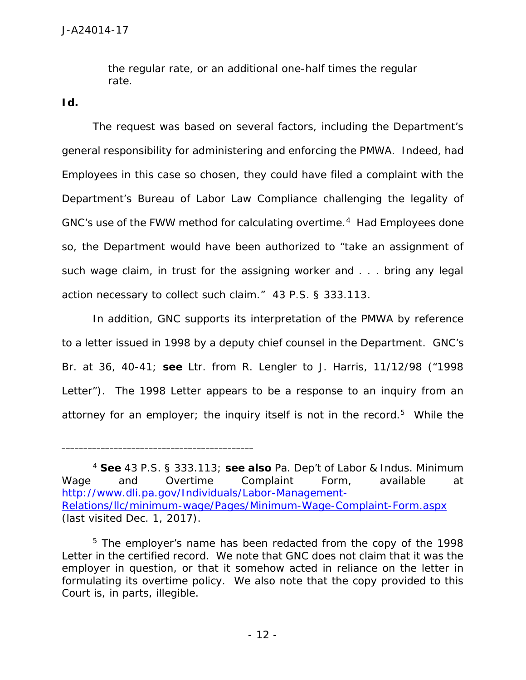the regular rate, or an additional one-half times the regular rate.

*Id.*

The request was based on several factors, including the Department's general responsibility for administering and enforcing the PMWA. Indeed, had Employees in this case so chosen, they could have filed a complaint with the Department's Bureau of Labor Law Compliance challenging the legality of GNC's use of the FWW method for calculating overtime.<sup>4</sup> Had Employees done so, the Department would have been authorized to "take an assignment of such wage claim, in trust for the assigning worker and . . . bring any legal action necessary to collect such claim." 43 P.S. § 333.113.

In addition, GNC supports its interpretation of the PMWA by reference to a letter issued in 1998 by a deputy chief counsel in the Department. GNC's Br. at 36, 40-41; *see* Ltr. from R. Lengler to J. Harris, 11/12/98 ("1998 Letter"). The 1998 Letter appears to be a response to an inquiry from an attorney for an employer; the inquiry itself is not in the record.<sup>5</sup> While the

<sup>4</sup> *See* 43 P.S. § 333.113; *see also* Pa. Dep't of Labor & Indus. Minimum Wage and Overtime Complaint Form, available at http://www.dli.pa.gov/Individuals/Labor-Management- Relations/llc/minimum-wage/Pages/Minimum-Wage-Complaint-Form.aspx (last visited Dec. 1, 2017).

<sup>&</sup>lt;sup>5</sup> The employer's name has been redacted from the copy of the 1998 Letter in the certified record. We note that GNC does not claim that it was the employer in question, or that it somehow acted in reliance on the letter in formulating its overtime policy. We also note that the copy provided to this Court is, in parts, illegible.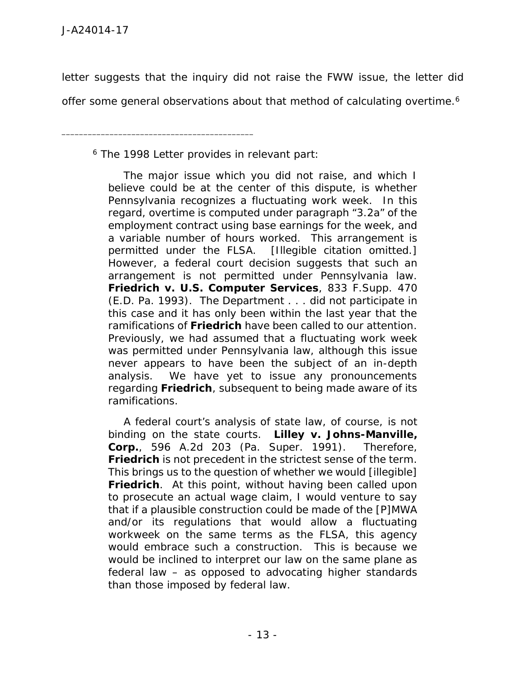letter suggests that the inquiry did not raise the FWW issue, the letter did

offer some general observations about that method of calculating overtime.<sup>6</sup>

<sup>6</sup> The 1998 Letter provides in relevant part:

\_\_\_\_\_\_\_\_\_\_\_\_\_\_\_\_\_\_\_\_\_\_\_\_\_\_\_\_\_\_\_\_\_\_\_\_\_\_\_\_\_\_\_\_

The major issue which you did not raise, and which I believe could be at the center of this dispute, is whether Pennsylvania recognizes a fluctuating work week. In this regard, overtime is computed under paragraph "3.2a" of the employment contract using base earnings for the week, and a variable number of hours worked. This arrangement is permitted under the FLSA. [Illegible citation omitted.] However, a federal court decision suggests that such an arrangement is not permitted under Pennsylvania law. *Friedrich v. U.S. Computer Services*, 833 F.Supp. 470 (E.D. Pa. 1993). The Department . . . did not participate in this case and it has only been within the last year that the ramifications of *Friedrich* have been called to our attention. Previously, we had assumed that a fluctuating work week was permitted under Pennsylvania law, although this issue never appears to have been the subject of an in-depth analysis. We have yet to issue any pronouncements regarding *Friedrich*, subsequent to being made aware of its ramifications.

A federal court's analysis of state law, of course, is not binding on the state courts. *Lilley v. Johns-Manville, Corp.*, 596 A.2d 203 (Pa. Super. 1991). Therefore, *Friedrich* is not precedent in the strictest sense of the term. This brings us to the question of whether we would [illegible] *Friedrich*. At this point, without having been called upon to prosecute an actual wage claim, I would venture to say that if a plausible construction could be made of the [P]MWA and/or its regulations that would allow a fluctuating workweek on the same terms as the FLSA, this agency would embrace such a construction. This is because we would be inclined to interpret our law on the same plane as federal law – as opposed to advocating higher standards than those imposed by federal law.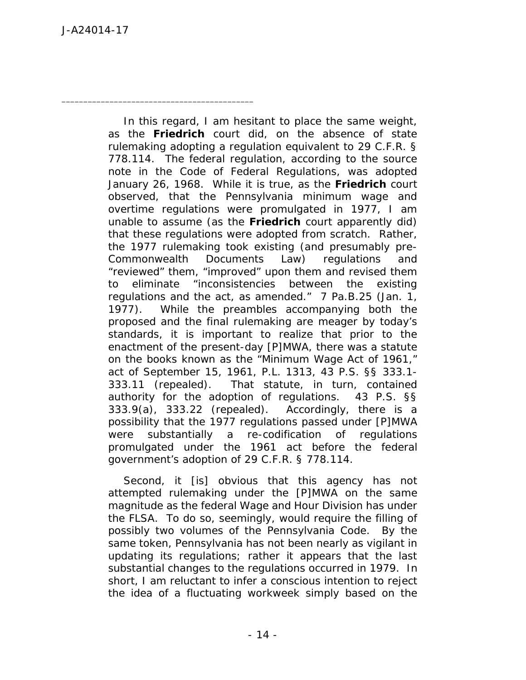\_\_\_\_\_\_\_\_\_\_\_\_\_\_\_\_\_\_\_\_\_\_\_\_\_\_\_\_\_\_\_\_\_\_\_\_\_\_\_\_\_\_\_\_

In this regard, I am hesitant to place the same weight, as the *Friedrich* court did, on the absence of state rulemaking adopting a regulation equivalent to 29 C.F.R. § 778.114. The federal regulation, according to the source note in the *Code of Federal Regulations*, was adopted January 26, 1968. While it is true, as the *Friedrich* court observed, that the Pennsylvania minimum wage and overtime regulations were promulgated in 1977, I am unable to assume (as the *Friedrich* court apparently did) that these regulations were adopted from scratch. Rather, the 1977 rulemaking took existing (and presumably pre- Commonwealth Documents Law) regulations and "reviewed" them, "improved" upon them and revised them to eliminate "inconsistencies between the existing regulations and the act, as amended." 7 Pa.B.25 (Jan. 1, 1977). While the preambles accompanying both the proposed and the final rulemaking are meager by today's standards, it is important to realize that prior to the enactment of the present-day [P]MWA, there was a statute on the books known as the "Minimum Wage Act of 1961," act of September 15, 1961, P.L. 1313, 43 P.S. §§ 333.1- 333.11 (repealed). That statute, in turn, contained authority for the adoption of regulations. 43 P.S. §§ 333.9(a), 333.22 (repealed). Accordingly, there is a possibility that the 1977 regulations passed under [P]MWA were substantially a re-codification of regulations promulgated under the 1961 act before the federal government's adoption of 29 C.F.R. § 778.114.

Second, it [is] obvious that this agency has not attempted rulemaking under the [P]MWA on the same magnitude as the federal Wage and Hour Division has under the FLSA. To do so, seemingly, would require the filling of possibly two volumes of the *Pennsylvania Code*. By the same token, Pennsylvania has not been nearly as vigilant in updating its regulations; rather it appears that the last substantial changes to the regulations occurred in 1979. In short, I am reluctant to infer a conscious intention to reject the idea of a fluctuating workweek simply based on the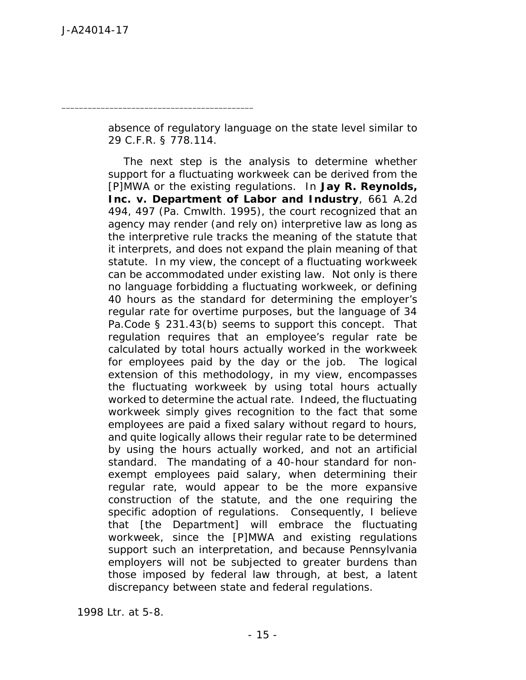\_\_\_\_\_\_\_\_\_\_\_\_\_\_\_\_\_\_\_\_\_\_\_\_\_\_\_\_\_\_\_\_\_\_\_\_\_\_\_\_\_\_\_\_

absence of regulatory language on the state level similar to 29 C.F.R. § 778.114.

The next step is the analysis to determine whether support for a fluctuating workweek can be derived from the [P]MWA or the existing regulations. In *Jay R. Reynolds, Inc. v. Department of Labor and Industry*, 661 A.2d 494, 497 (Pa. Cmwlth. 1995), the court recognized that an agency may render (and rely on) interpretive law as long as the interpretive rule tracks the meaning of the statute that it interprets, and does not expand the plain meaning of that statute. In my view, the concept of a fluctuating workweek can be accommodated under existing law. Not only is there no language forbidding a fluctuating workweek, or defining 40 hours as the standard for determining the employer's regular rate for overtime purposes, but the language of 34 Pa.Code § 231.43(b) seems to support this concept. That regulation requires that an employee's regular rate be calculated by total hours actually worked in the workweek for employees paid by the day or the job. The logical extension of this methodology, in my view, encompasses the fluctuating workweek by using total hours actually worked to determine the actual rate. Indeed, the fluctuating workweek simply gives recognition to the fact that some employees are paid a fixed salary without regard to hours, and quite logically allows their regular rate to be determined by using the hours actually worked, and not an artificial standard. The mandating of a 40-hour standard for non exempt employees paid salary, when determining their regular rate, would appear to be the more expansive construction of the statute, and the one requiring the specific adoption of regulations. Consequently, I believe that [the Department] will embrace the fluctuating workweek, since the [P]MWA and existing regulations support such an interpretation, and because Pennsylvania employers will not be subjected to greater burdens than those imposed by federal law through, at best, a latent discrepancy between state and federal regulations.

1998 Ltr. at 5-8.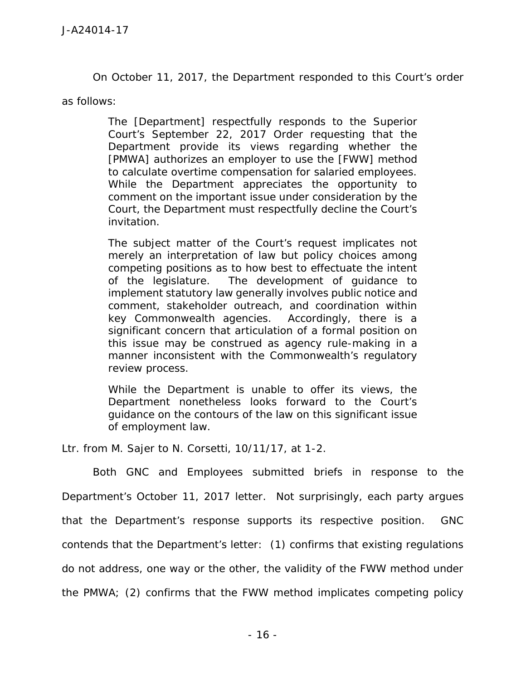On October 11, 2017, the Department responded to this Court's order

as follows:

The [Department] respectfully responds to the Superior Court's September 22, 2017 Order requesting that the Department provide its views regarding whether the [PMWA] authorizes an employer to use the [FWW] method to calculate overtime compensation for salaried employees. While the Department appreciates the opportunity to comment on the important issue under consideration by the Court, the Department must respectfully decline the Court's invitation.

The subject matter of the Court's request implicates not merely an interpretation of law but policy choices among competing positions as to how best to effectuate the intent of the legislature. The development of guidance to implement statutory law generally involves public notice and comment, stakeholder outreach, and coordination within key Commonwealth agencies. Accordingly, there is a significant concern that articulation of a formal position on this issue may be construed as agency rule-making in a manner inconsistent with the Commonwealth's regulatory review process.

While the Department is unable to offer its views, the Department nonetheless looks forward to the Court's guidance on the contours of the law on this significant issue of employment law.

Ltr. from M. Sajer to N. Corsetti, 10/11/17, at 1-2.

Both GNC and Employees submitted briefs in response to the Department's October 11, 2017 letter. Not surprisingly, each party argues that the Department's response supports its respective position. GNC contends that the Department's letter: (1) confirms that existing regulations do not address, one way or the other, the validity of the FWW method under the PMWA; (2) confirms that the FWW method implicates competing policy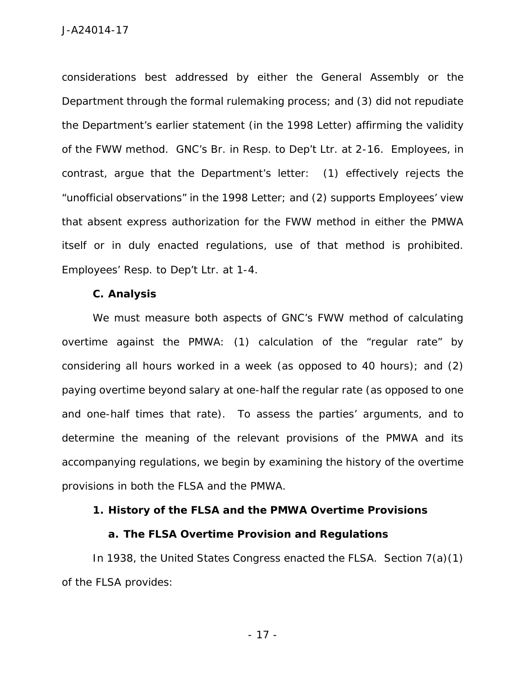considerations best addressed by either the General Assembly or the Department through the formal rulemaking process; and (3) did not repudiate the Department's earlier statement (in the 1998 Letter) affirming the validity of the FWW method. GNC's Br. in Resp. to Dep't Ltr. at 2-16. Employees, in contrast, argue that the Department's letter: (1) effectively rejects the "unofficial observations" in the 1998 Letter; and (2) supports Employees' view that absent express authorization for the FWW method in either the PMWA itself or in duly enacted regulations, use of that method is prohibited. Employees' Resp. to Dep't Ltr. at 1-4.

**C. Analysis**

We must measure both aspects of GNC's FWW method of calculating overtime against the PMWA: (1) calculation of the "regular rate" by considering all hours worked in a week (as opposed to 40 hours); and (2) paying overtime beyond salary at one-half the regular rate (as opposed to one and one-half times that rate). To assess the parties' arguments, and to determine the meaning of the relevant provisions of the PMWA and its accompanying regulations, we begin by examining the history of the overtime provisions in both the FLSA and the PMWA.

**1. History of the FLSA and the PMWA Overtime Provisions**

**a. The FLSA Overtime Provision and Regulations**

In 1938, the United States Congress enacted the FLSA. Section 7(a)(1) of the FLSA provides:

- 17 -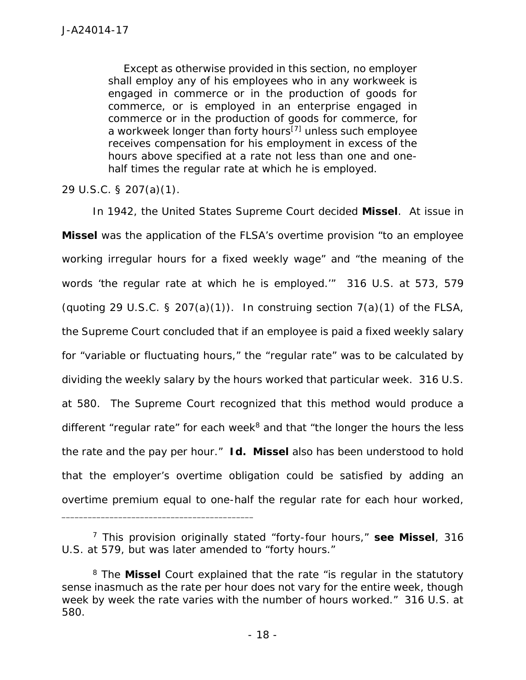Except as otherwise provided in this section, no employer shall employ any of his employees who in any workweek is engaged in commerce or in the production of goods for commerce, or is employed in an enterprise engaged in commerce or in the production of goods for commerce, for a workweek longer than forty hours<sup>[7]</sup> unless such employee receives compensation for his employment in excess of the hours above specified at a rate not less than one and one half times the regular rate at which he is employed.

29 U.S.C. § 207(a)(1).

In 1942, the United States Supreme Court decided *Missel*. At issue in *Missel* was the application of the FLSA's overtime provision "to an employee working irregular hours for a fixed weekly wage" and "the meaning of the words 'the regular rate at which he is employed.'" 316 U.S. at 573, 579 (quoting 29 U.S.C. § 207(a)(1)). In construing section  $7(a)(1)$  of the FLSA, the Supreme Court concluded that if an employee is paid a fixed weekly salary for "variable or fluctuating hours," the "regular rate" was to be calculated by dividing the weekly salary by the hours worked that particular week. 316 U.S. at 580. The Supreme Court recognized that this method would produce a different "regular rate" for each week $<sup>8</sup>$  and that "the longer the hours the less</sup> the rate and the pay per hour." *Id. Missel* also has been understood to hold that the employer's overtime obligation could be satisfied by adding an overtime premium equal to one-half the regular rate for each hour worked,

<sup>7</sup> This provision originally stated "forty-four hours," *see Missel*, 316 U.S. at 579, but was later amended to "forty hours."

<sup>8</sup> The *Missel* Court explained that the rate "is regular in the statutory sense inasmuch as the rate per hour does not vary for the entire week, though week by week the rate varies with the number of hours worked." 316 U.S. at 580.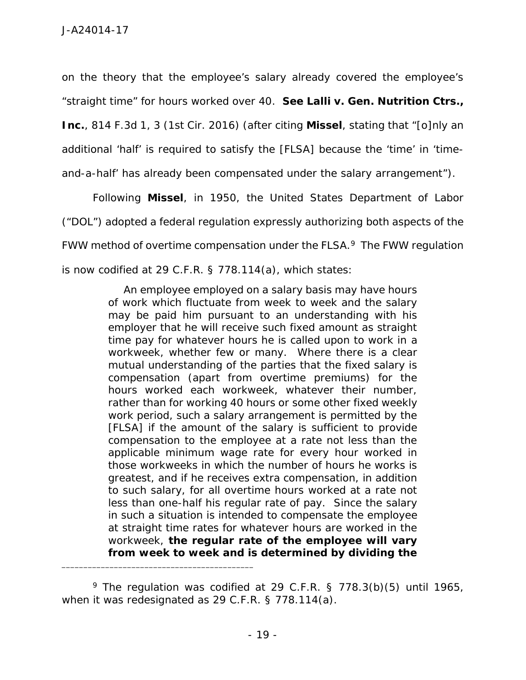on the theory that the employee's salary already covered the employee's "straight time" for hours worked over 40. *See Lalli v. Gen. Nutrition Ctrs., Inc.*, 814 F.3d 1, 3 (1st Cir. 2016) (after citing *Missel*, stating that "[o]nly an additional 'half' is required to satisfy the [FLSA] because the 'time' in 'time and-a-half' has already been compensated under the salary arrangement").

Following *Missel*, in 1950, the United States Department of Labor ("DOL") adopted a federal regulation expressly authorizing both aspects of the FWW method of overtime compensation under the FLSA.<sup>9</sup> The FWW regulation is now codified at 29 C.F.R. § 778.114(a), which states:

> An employee employed on a salary basis may have hours of work which fluctuate from week to week and the salary may be paid him pursuant to an understanding with his employer that he will receive such fixed amount as straight time pay for whatever hours he is called upon to work in a workweek, whether few or many. Where there is a clear mutual understanding of the parties that the fixed salary is compensation (apart from overtime premiums) for the hours worked each workweek, whatever their number, rather than for working 40 hours or some other fixed weekly work period, such a salary arrangement is permitted by the [FLSA] if the amount of the salary is sufficient to provide compensation to the employee at a rate not less than the applicable minimum wage rate for every hour worked in those workweeks in which the number of hours he works is greatest, and if he receives extra compensation, in addition to such salary, for all overtime hours worked at a rate not less than one-half his regular rate of pay. Since the salary in such a situation is intended to compensate the employee at straight time rates for whatever hours are worked in the workweek, **the regular rate of the employee will vary from week to week and is determined by dividing the**

 $9$  The regulation was codified at 29 C.F.R. § 778.3(b)(5) until 1965, when it was redesignated as 29 C.F.R. § 778.114(a).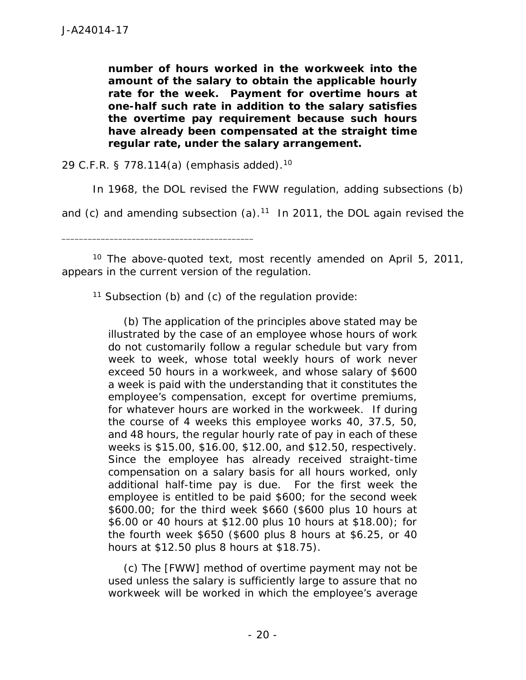**number of hours worked in the workweek into the amount of the salary to obtain the applicable hourly rate for the week. Payment for overtime hours at one-half such rate in addition to the salary satisfies the overtime pay requirement because such hours have already been compensated at the straight time regular rate, under the salary arrangement.**

29 C.F.R. § 778.114(a) (emphasis added).<sup>10</sup>

\_\_\_\_\_\_\_\_\_\_\_\_\_\_\_\_\_\_\_\_\_\_\_\_\_\_\_\_\_\_\_\_\_\_\_\_\_\_\_\_\_\_\_\_

In 1968, the DOL revised the FWW regulation, adding subsections (b)

and (c) and amending subsection (a).<sup>11</sup> In 2011, the DOL again revised the

<sup>10</sup> The above-quoted text, most recently amended on April 5, 2011, appears in the current version of the regulation.

<sup>11</sup> Subsection (b) and (c) of the regulation provide:

(b) The application of the principles above stated may be illustrated by the case of an employee whose hours of work do not customarily follow a regular schedule but vary from week to week, whose total weekly hours of work never exceed 50 hours in a workweek, and whose salary of \$600 a week is paid with the understanding that it constitutes the employee's compensation, except for overtime premiums, for whatever hours are worked in the workweek. If during the course of 4 weeks this employee works 40, 37.5, 50, and 48 hours, the regular hourly rate of pay in each of these weeks is \$15.00, \$16.00, \$12.00, and \$12.50, respectively. Since the employee has already received straight-time compensation on a salary basis for all hours worked, only additional half-time pay is due. For the first week the employee is entitled to be paid \$600; for the second week \$600.00; for the third week \$660 (\$600 plus 10 hours at \$6.00 or 40 hours at \$12.00 plus 10 hours at \$18.00); for the fourth week \$650 (\$600 plus 8 hours at \$6.25, or 40 hours at \$12.50 plus 8 hours at \$18.75).

(c) The [FWW] method of overtime payment may not be used unless the salary is sufficiently large to assure that no workweek will be worked in which the employee's average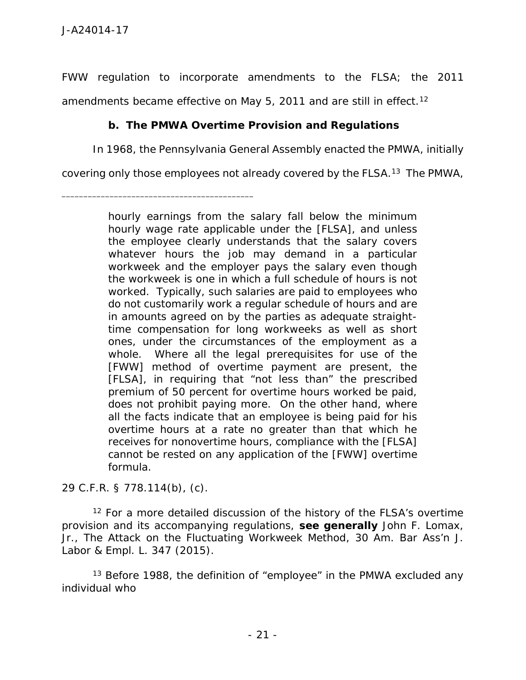FWW regulation to incorporate amendments to the FLSA; the 2011 amendments became effective on May 5, 2011 and are still in effect.<sup>12</sup>

**b. The PMWA Overtime Provision and Regulations**

In 1968, the Pennsylvania General Assembly enacted the PMWA, initially

covering only those employees not already covered by the FLSA.<sup>13</sup> The PMWA,

\_\_\_\_\_\_\_\_\_\_\_\_\_\_\_\_\_\_\_\_\_\_\_\_\_\_\_\_\_\_\_\_\_\_\_\_\_\_\_\_\_\_\_\_

29 C.F.R. § 778.114(b), (c).

 $12$  For a more detailed discussion of the history of the FLSA's overtime provision and its accompanying regulations, *see generally* John F. Lomax, Jr., *The Attack on the Fluctuating Workweek Method*, 30 Am. Bar Ass'n J. Labor & Empl. L. 347 (2015).

<sup>13</sup> Before 1988, the definition of "employee" in the PMWA excluded any individual who

hourly earnings from the salary fall below the minimum hourly wage rate applicable under the [FLSA], and unless the employee clearly understands that the salary covers whatever hours the job may demand in a particular workweek and the employer pays the salary even though the workweek is one in which a full schedule of hours is not worked. Typically, such salaries are paid to employees who do not customarily work a regular schedule of hours and are in amounts agreed on by the parties as adequate straighttime compensation for long workweeks as well as short ones, under the circumstances of the employment as a whole. Where all the legal prerequisites for use of the [FWW] method of overtime payment are present, the [FLSA], in requiring that "not less than" the prescribed premium of 50 percent for overtime hours worked be paid, does not prohibit paying more. On the other hand, where all the facts indicate that an employee is being paid for his overtime hours at a rate no greater than that which he receives for nonovertime hours, compliance with the [FLSA] cannot be rested on any application of the [FWW] overtime formula.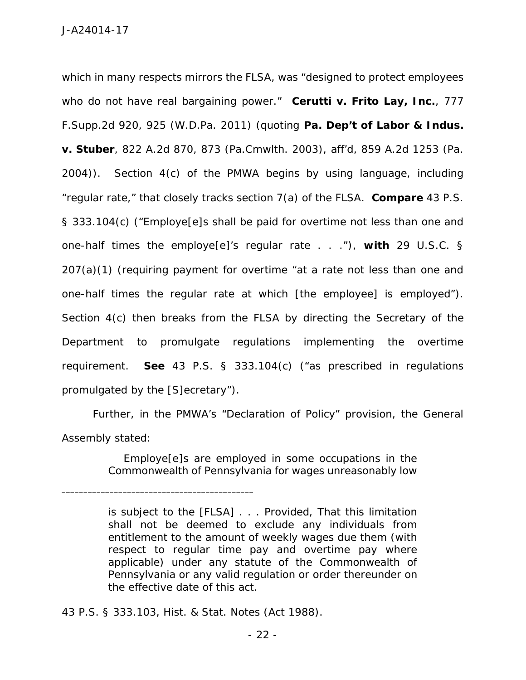which in many respects mirrors the FLSA, was "designed to protect employees who do not have real bargaining power." *Cerutti v. Frito Lay, Inc.*, 777 F.Supp.2d 920, 925 (W.D.Pa. 2011) (quoting *Pa. Dep't of Labor & Indus. v. Stuber*, 822 A.2d 870, 873 (Pa.Cmwlth. 2003), *aff'd*, 859 A.2d 1253 (Pa. 2004)). Section 4(c) of the PMWA begins by using language, including "regular rate," that closely tracks section 7(a) of the FLSA. *Compare* 43 P.S. § 333.104(c) ("Employe[e]s shall be paid for overtime not less than one and one-half times the employe[e]'s regular rate . . ."), *with* 29 U.S.C. § 207(a)(1) (requiring payment for overtime "at a rate not less than one and one-half times the regular rate at which [the employee] is employed"). Section 4(c) then breaks from the FLSA by directing the Secretary of the Department to promulgate regulations implementing the overtime requirement. *See* 43 P.S. § 333.104(c) ("as prescribed in regulations promulgated by the [S]ecretary").

Further, in the PMWA's "Declaration of Policy" provision, the General Assembly stated:

> Employe[e]s are employed in some occupations in the Commonwealth of Pennsylvania for wages unreasonably low

43 P.S. § 333.103, Hist. & Stat. Notes (Act 1988).

is subject to the [FLSA] . . . Provided, That this limitation shall not be deemed to exclude any individuals from entitlement to the amount of weekly wages due them (with respect to regular time pay and overtime pay where applicable) under any statute of the Commonwealth of Pennsylvania or any valid regulation or order thereunder on the effective date of this act.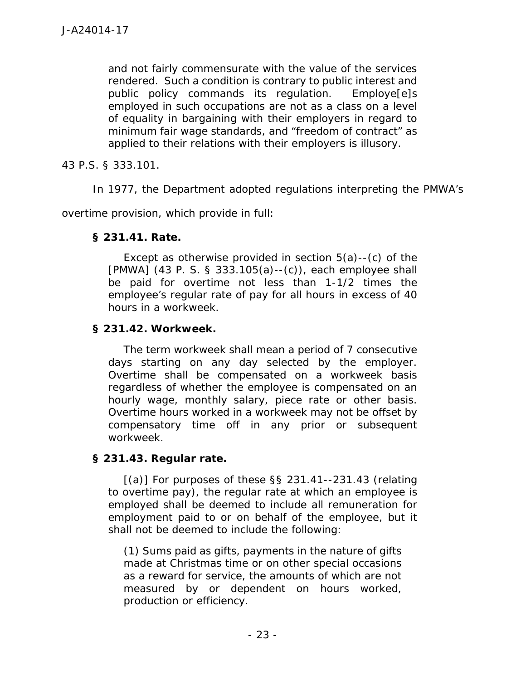and not fairly commensurate with the value of the services rendered. Such a condition is contrary to public interest and public policy commands its regulation. Employe[e]s employed in such occupations are not as a class on a level of equality in bargaining with their employers in regard to minimum fair wage standards, and "freedom of contract" as applied to their relations with their employers is illusory.

43 P.S. § 333.101.

In 1977, the Department adopted regulations interpreting the PMWA's

overtime provision, which provide in full:

**§ 231.41. Rate.**

Except as otherwise provided in section 5(a)--(c) of the [PMWA] (43 P. S. § 333.105(a)--(c)), each employee shall be paid for overtime not less than 1-1/2 times the employee's regular rate of pay for all hours in excess of 40 hours in a workweek.

## **§ 231.42. Workweek.**

The term workweek shall mean a period of 7 consecutive days starting on any day selected by the employer. Overtime shall be compensated on a workweek basis regardless of whether the employee is compensated on an hourly wage, monthly salary, piece rate or other basis. Overtime hours worked in a workweek may not be offset by compensatory time off in any prior or subsequent workweek.

**§ 231.43. Regular rate.**

 $[(a)]$  For purposes of these §§ 231.41--231.43 (relating to overtime pay), the regular rate at which an employee is employed shall be deemed to include all remuneration for employment paid to or on behalf of the employee, but it shall not be deemed to include the following:

(1) Sums paid as gifts, payments in the nature of gifts made at Christmas time or on other special occasions as a reward for service, the amounts of which are not measured by or dependent on hours worked, production or efficiency.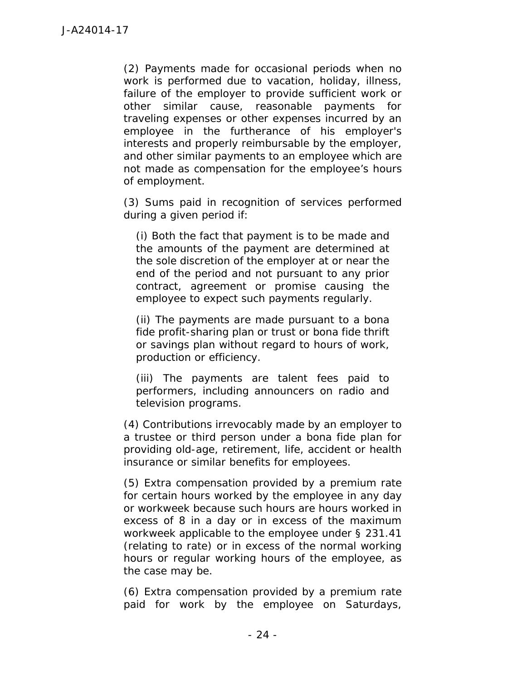(2) Payments made for occasional periods when no work is performed due to vacation, holiday, illness, failure of the employer to provide sufficient work or other similar cause, reasonable payments for traveling expenses or other expenses incurred by an employee in the furtherance of his employer's interests and properly reimbursable by the employer, and other similar payments to an employee which are not made as compensation for the employee's hours of employment.

(3) Sums paid in recognition of services performed during a given period if:

(i) Both the fact that payment is to be made and the amounts of the payment are determined at the sole discretion of the employer at or near the end of the period and not pursuant to any prior contract, agreement or promise causing the employee to expect such payments regularly.

(ii) The payments are made pursuant to a bona fide profit-sharing plan or trust or bona fide thrift or savings plan without regard to hours of work, production or efficiency.

(iii) The payments are talent fees paid to performers, including announcers on radio and television programs.

(4) Contributions irrevocably made by an employer to a trustee or third person under a bona fide plan for providing old-age, retirement, life, accident or health insurance or similar benefits for employees.

(5) Extra compensation provided by a premium rate for certain hours worked by the employee in any day or workweek because such hours are hours worked in excess of 8 in a day or in excess of the maximum workweek applicable to the employee under § 231.41 (relating to rate) or in excess of the normal working hours or regular working hours of the employee, as the case may be.

(6) Extra compensation provided by a premium rate paid for work by the employee on Saturdays,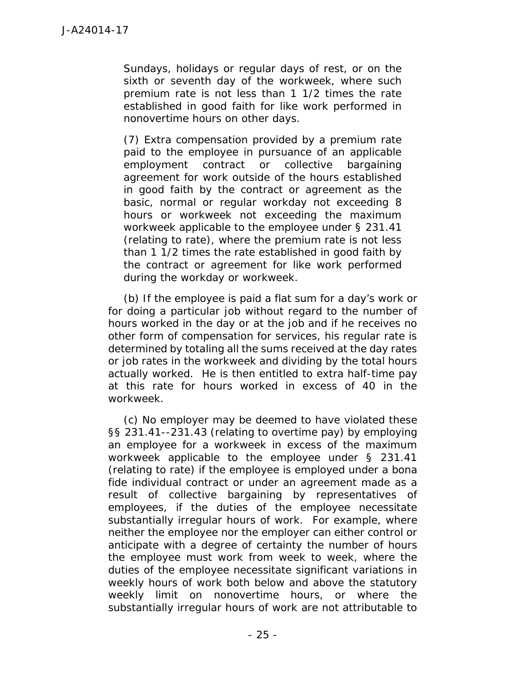Sundays, holidays or regular days of rest, or on the sixth or seventh day of the workweek, where such premium rate is not less than 1 1/2 times the rate established in good faith for like work performed in nonovertime hours on other days.

(7) Extra compensation provided by a premium rate paid to the employee in pursuance of an applicable employment contract or collective bargaining agreement for work outside of the hours established in good faith by the contract or agreement as the basic, normal or regular workday not exceeding 8 hours or workweek not exceeding the maximum workweek applicable to the employee under § 231.41 (relating to rate), where the premium rate is not less than 1 1/2 times the rate established in good faith by the contract or agreement for like work performed during the workday or workweek.

(b) If the employee is paid a flat sum for a day's work or for doing a particular job without regard to the number of hours worked in the day or at the job and if he receives no other form of compensation for services, his regular rate is determined by totaling all the sums received at the day rates or job rates in the workweek and dividing by the total hours actually worked. He is then entitled to extra half-time pay at this rate for hours worked in excess of 40 in the workweek.

(c) No employer may be deemed to have violated these §§ 231.41--231.43 (relating to overtime pay) by employing an employee for a workweek in excess of the maximum workweek applicable to the employee under § 231.41 (relating to rate) if the employee is employed under a bona fide individual contract or under an agreement made as a result of collective bargaining by representatives of employees, if the duties of the employee necessitate substantially irregular hours of work. For example, where neither the employee nor the employer can either control or anticipate with a degree of certainty the number of hours the employee must work from week to week, where the duties of the employee necessitate significant variations in weekly hours of work both below and above the statutory weekly limit on nonovertime hours, or where the substantially irregular hours of work are not attributable to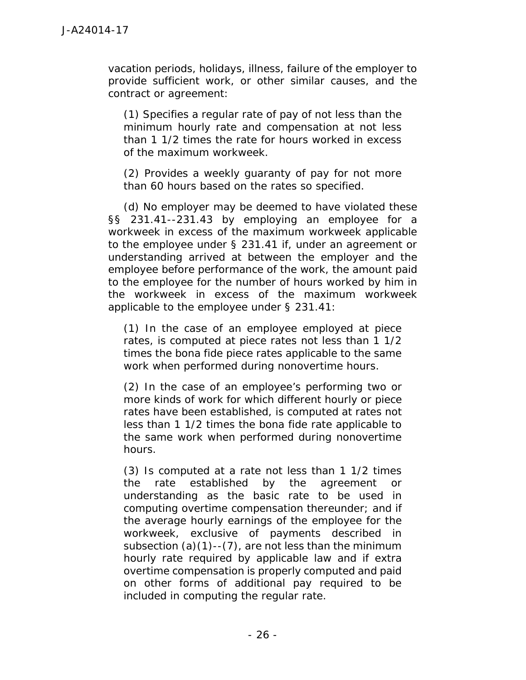vacation periods, holidays, illness, failure of the employer to provide sufficient work, or other similar causes, and the contract or agreement:

(1) Specifies a regular rate of pay of not less than the minimum hourly rate and compensation at not less than 1 1/2 times the rate for hours worked in excess of the maximum workweek.

(2) Provides a weekly guaranty of pay for not more than 60 hours based on the rates so specified.

(d) No employer may be deemed to have violated these §§ 231.41--231.43 by employing an employee for a workweek in excess of the maximum workweek applicable to the employee under § 231.41 if, under an agreement or understanding arrived at between the employer and the employee before performance of the work, the amount paid to the employee for the number of hours worked by him in the workweek in excess of the maximum workweek applicable to the employee under § 231.41:

(1) In the case of an employee employed at piece rates, is computed at piece rates not less than 1 1/2 times the bona fide piece rates applicable to the same work when performed during nonovertime hours.

(2) In the case of an employee's performing two or more kinds of work for which different hourly or piece rates have been established, is computed at rates not less than 1 1/2 times the bona fide rate applicable to the same work when performed during nonovertime hours.

(3) Is computed at a rate not less than 1 1/2 times the rate established by the agreement or understanding as the basic rate to be used in computing overtime compensation thereunder; and if the average hourly earnings of the employee for the workweek, exclusive of payments described in subsection  $(a)(1)$ -- $(7)$ , are not less than the minimum hourly rate required by applicable law and if extra overtime compensation is properly computed and paid on other forms of additional pay required to be included in computing the regular rate.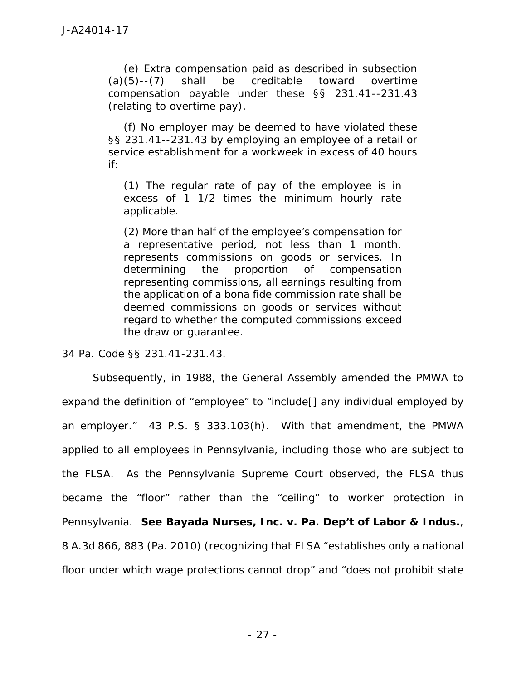(e) Extra compensation paid as described in subsection (a)(5)--(7) shall be creditable toward overtime compensation payable under these §§ 231.41--231.43 (relating to overtime pay).

(f) No employer may be deemed to have violated these §§ 231.41--231.43 by employing an employee of a retail or service establishment for a workweek in excess of 40 hours if:

(1) The regular rate of pay of the employee is in excess of 1 1/2 times the minimum hourly rate applicable.

(2) More than half of the employee's compensation for a representative period, not less than 1 month, represents commissions on goods or services. In determining the proportion of compensation representing commissions, all earnings resulting from the application of a bona fide commission rate shall be deemed commissions on goods or services without regard to whether the computed commissions exceed the draw or guarantee.

34 Pa. Code §§ 231.41-231.43.

Subsequently, in 1988, the General Assembly amended the PMWA to expand the definition of "employee" to "include[] any individual employed by an employer." 43 P.S. § 333.103(h). With that amendment, the PMWA applied to all employees in Pennsylvania, including those who are subject to the FLSA. As the Pennsylvania Supreme Court observed, the FLSA thus became the "floor" rather than the "ceiling" to worker protection in Pennsylvania. *See Bayada Nurses, Inc. v. Pa. Dep't of Labor & Indus.*, 8 A.3d 866, 883 (Pa. 2010) (recognizing that FLSA "establishes only a national floor under which wage protections cannot drop" and "does not prohibit state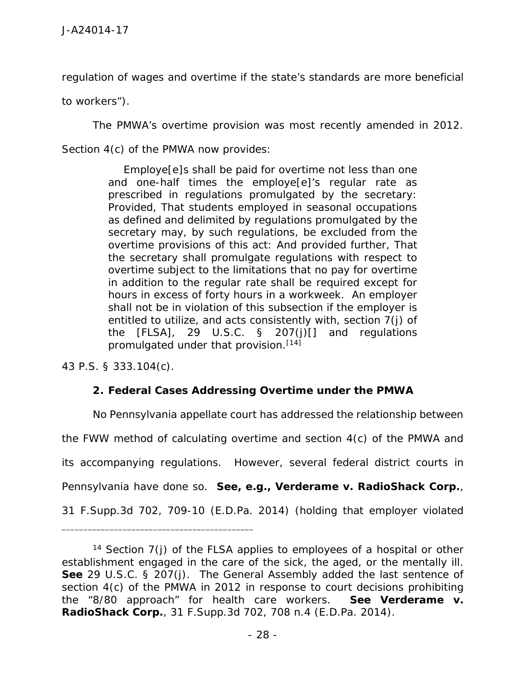regulation of wages and overtime if the state's standards are more beneficial

to workers").

The PMWA's overtime provision was most recently amended in 2012. Section 4(c) of the PMWA now provides:

> Employe[e]s shall be paid for overtime not less than one and one-half times the employe[e]'s regular rate as prescribed in regulations promulgated by the secretary: Provided, That students employed in seasonal occupations as defined and delimited by regulations promulgated by the secretary may, by such regulations, be excluded from the overtime provisions of this act: And provided further, That the secretary shall promulgate regulations with respect to overtime subject to the limitations that no pay for overtime in addition to the regular rate shall be required except for hours in excess of forty hours in a workweek. An employer shall not be in violation of this subsection if the employer is entitled to utilize, and acts consistently with, section 7(j) of the  $[FLSA]$ , 29 U.S.C. § 207(j) $[$ ] and regulations promulgated under that provision.[14]

43 P.S. § 333.104(c).

\_\_\_\_\_\_\_\_\_\_\_\_\_\_\_\_\_\_\_\_\_\_\_\_\_\_\_\_\_\_\_\_\_\_\_\_\_\_\_\_\_\_\_\_

**2. Federal Cases Addressing Overtime under the PMWA**

No Pennsylvania appellate court has addressed the relationship between the FWW method of calculating overtime and section 4(c) of the PMWA and its accompanying regulations. However, several federal district courts in Pennsylvania have done so. *See, e.g., Verderame v. RadioShack Corp.*, 31 F.Supp.3d 702, 709-10 (E.D.Pa. 2014) (holding that employer violated

<sup>&</sup>lt;sup>14</sup> Section  $7(i)$  of the FLSA applies to employees of a hospital or other establishment engaged in the care of the sick, the aged, or the mentally ill. *See* 29 U.S.C. § 207(j). The General Assembly added the last sentence of section 4(c) of the PMWA in 2012 in response to court decisions prohibiting the "8/80 approach" for health care workers. *See Verderame v. RadioShack Corp.*, 31 F.Supp.3d 702, 708 n.4 (E.D.Pa. 2014).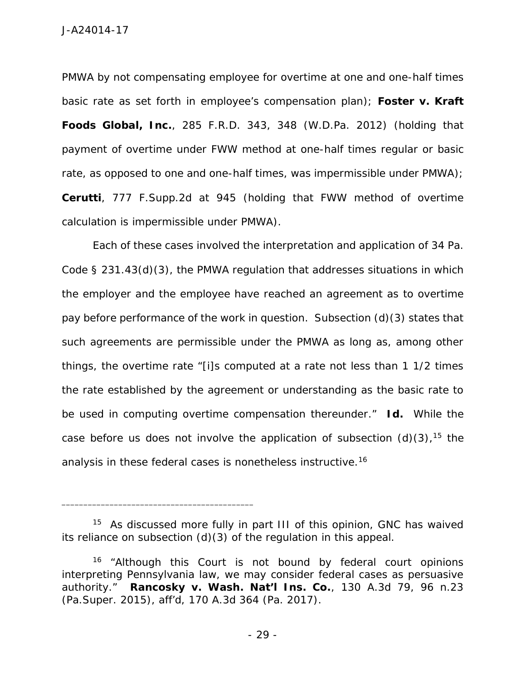PMWA by not compensating employee for overtime at one and one-half times basic rate as set forth in employee's compensation plan); *Foster v. Kraft Foods Global, Inc.*, 285 F.R.D. 343, 348 (W.D.Pa. 2012) (holding that payment of overtime under FWW method at one-half times regular or basic rate, as opposed to one and one-half times, was impermissible under PMWA); *Cerutti*, 777 F.Supp.2d at945 (holding that FWW method of overtime calculation is impermissible under PMWA).

Each of these cases involved the interpretation and application of 34 Pa. Code § 231.43(d)(3), the PMWA regulation that addresses situations in which the employer and the employee have reached an agreement as to overtime pay before performance of the work in question. Subsection (d)(3) states that such agreements are permissible under the PMWA as long as, among other things, the overtime rate "[i]s computed at a rate not less than 1 1/2 times the rate established by the agreement or understanding as the basic rate to be used in computing overtime compensation thereunder." *Id.* While the case before us does not involve the application of subsection  $(d)(3)$ , <sup>15</sup> the analysis in these federal cases is nonetheless instructive.<sup>16</sup>

<sup>&</sup>lt;sup>15</sup> As discussed more fully in part III of this opinion, GNC has waived its reliance on subsection (d)(3) of the regulation in this appeal.

<sup>&</sup>lt;sup>16</sup> "Although this Court is not bound by federal court opinions interpreting Pennsylvania law, we may consider federal cases as persuasive authority." *Rancosky v. Wash. Nat'l Ins. Co.*, 130 A.3d 79, 96 n.23 (Pa.Super. 2015), *aff'd*, 170 A.3d 364 (Pa. 2017).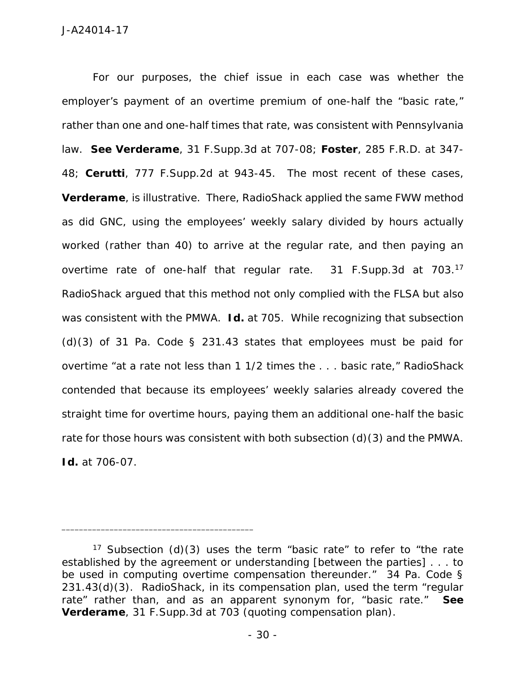For our purposes, the chief issue in each case was whether the employer's payment of an overtime premium of one-half the "basic rate," rather than one and one-half times that rate, was consistent with Pennsylvania law. *See Verderame*, 31 F.Supp.3d at 707-08; *Foster*, 285 F.R.D. at 347- 48; *Cerutti*, 777 F.Supp.2d at 943-45. The most recent of these cases, *Verderame*, is illustrative. There, RadioShack applied the same FWW method as did GNC, using the employees' weekly salary divided by hours actually worked (rather than 40) to arrive at the regular rate, and then paying an overtime rate of one-half that regular rate. 31 F.Supp.3d at 703.<sup>17</sup> RadioShack argued that this method not only complied with the FLSA but also was consistent with the PMWA. *Id.* at 705. While recognizing that subsection  $(d)(3)$  of 31 Pa. Code § 231.43 states that employees must be paid for overtime "at a rate not less than 1 1/2 times the . . . basic rate," RadioShack contended that because its employees' weekly salaries already covered the straight time for overtime hours, paying them an additional one-half the basic rate for those hours was consistent with both subsection (d)(3) and the PMWA. *Id.* at 706-07.

<sup>&</sup>lt;sup>17</sup> Subsection (d)(3) uses the term "basic rate" to refer to "the rate established by the agreement or understanding [between the parties] . . . to be used in computing overtime compensation thereunder." 34 Pa. Code § 231.43(d)(3). RadioShack, in its compensation plan, used the term "regular rate" rather than, and as an apparent synonym for, "basic rate." *See Verderame*, 31 F.Supp.3d at 703 (quoting compensation plan).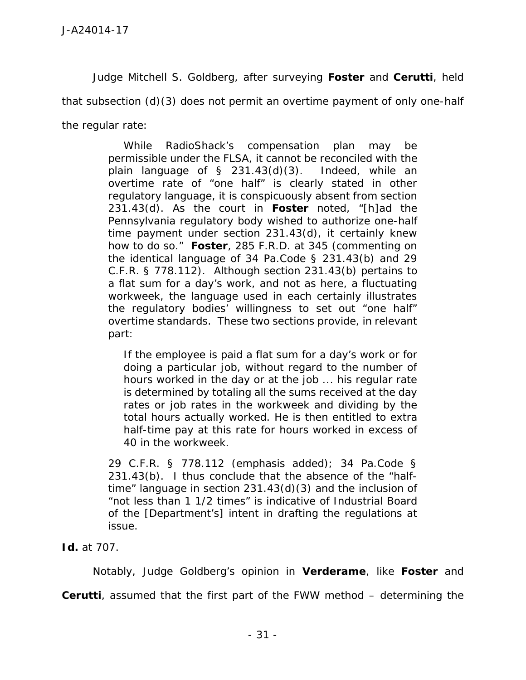Judge Mitchell S. Goldberg, after surveying *Foster* and *Cerutti*, held

that subsection (d)(3) does not permit an overtime payment of only one-half

the regular rate:

While RadioShack's compensation plan may be permissible under the FLSA, it cannot be reconciled with the plain language of § 231.43(d)(3). Indeed, while an overtime rate of "one half" is clearly stated in other regulatory language, it is conspicuously absent from section 231.43(d). As the court in *Foster* noted, "[h]ad the Pennsylvania regulatory body wished to authorize one-half time payment under section 231.43(d), it certainly knew how to do so." *Foster*, 285 F.R.D. at 345 (commenting on the identical language of 34 Pa.Code § 231.43(b) and 29 C.F.R. § 778.112). Although section 231.43(b) pertains to a flat sum for a day's work, and not as here, a fluctuating workweek, the language used in each certainly illustrates the regulatory bodies' willingness to set out "one half" overtime standards. These two sections provide, in relevant part:

If the employee is paid a flat sum for a day's work or for doing a particular job, without regard to the number of hours worked in the day or at the job ... his regular rate is determined by totaling all the sums received at the day rates or job rates in the workweek and dividing by the total hours actually worked. He is then entitled *to extra half-time pay at this rate* for hours worked in excess of 40 in the workweek.

29 C.F.R. § 778.112 (emphasis added); 34 Pa.Code § 231.43(b). I thus conclude that the absence of the "halftime" language in section 231.43(d)(3) and the inclusion of "not less than 1 1/2 times" is indicative of Industrial Board of the [Department's] intent in drafting the regulations at issue.

*Id.* at 707.

Notably, Judge Goldberg's opinion in *Verderame*, like *Foster* and *Cerutti*, assumed that the first part of the FWW method – determining the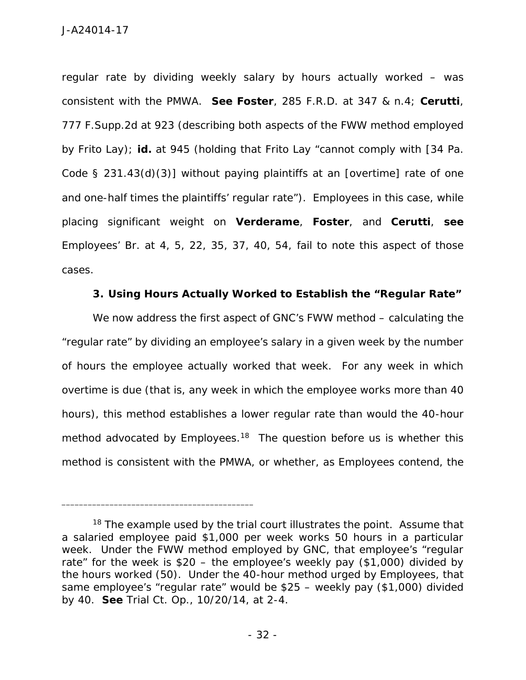regular rate by dividing weekly salary by hours actually worked – was consistent with the PMWA. *See Foster*, 285 F.R.D. at 347 & n.4; *Cerutti*, 777 F.Supp.2d at 923 (describing both aspects of the FWW method employed by Frito Lay); *id.* at 945 (holding that Frito Lay "cannot comply with [34 Pa. Code § 231.43(d)(3)] without paying plaintiffs at an [overtime] rate of one and one-half times the plaintiffs' regular rate"). Employees in this case, while placing significant weight on *Verderame*, *Foster*, and *Cerutti*, *see* Employees' Br. at 4, 5, 22, 35, 37, 40, 54, fail to note this aspect of those cases.

**3. Using Hours Actually Worked to Establish the "Regular Rate"**

We now address the first aspect of GNC's FWW method – calculating the "regular rate" by dividing an employee's salary in a given week by the number of hours the employee actually worked that week. For any week in which overtime is due (that is, any week in which the employee works more than 40 hours), this method establishes a lower regular rate than would the 40-hour method advocated by Employees.<sup>18</sup> The question before us is whether this method is consistent with the PMWA, or whether, as Employees contend, the

 $18$  The example used by the trial court illustrates the point. Assume that a salaried employee paid \$1,000 per week works 50 hours in a particular week. Under the FWW method employed by GNC, that employee's "regular rate" for the week is \$20 – the employee's weekly pay (\$1,000) divided by the hours worked (50). Under the 40-hour method urged by Employees, that same employee's "regular rate" would be \$25 – weekly pay (\$1,000) divided by 40. *See* Trial Ct. Op., 10/20/14, at 2-4.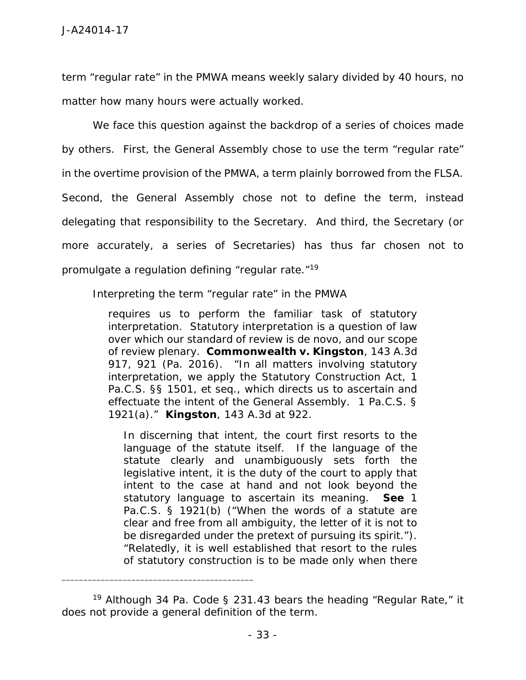term "regular rate" in the PMWA means weekly salary divided by 40 hours, no matter how many hours were actually worked.

We face this question against the backdrop of a series of choices made by others. First, the General Assembly chose to use the term "regular rate" in the overtime provision of the PMWA, a term plainly borrowed from the FLSA. Second, the General Assembly chose not to define the term, instead delegating that responsibility to the Secretary. And third, the Secretary (or more accurately, a series of Secretaries) has thus far chosen not to promulgate a regulation defining "regular rate." 19

Interpreting the term "regular rate" in the PMWA

requires us to perform the familiar task of statutory interpretation. Statutory interpretation is a question of law over which our standard of review is *de novo*, and our scope of review plenary. *Commonwealth v. Kingston*, 143 A.3d 917, 921 (Pa. 2016). "In all matters involving statutory interpretation, we apply the Statutory Construction Act, 1 Pa.C.S. §§ 1501, *et seq*., which directs us to ascertain and effectuate the intent of the General Assembly. 1 Pa.C.S. § 1921(a)." *Kingston*, 143 A.3d at 922.

In discerning that intent, the court first resorts to the language of the statute itself. If the language of the statute clearly and unambiguously sets forth the legislative intent, it is the duty of the court to apply that intent to the case at hand and not look beyond the statutory language to ascertain its meaning. *See* 1 Pa.C.S. § 1921(b) ("When the words of a statute are clear and free from all ambiguity, the letter of it is not to be disregarded under the pretext of pursuing its spirit."). "Relatedly, it is well established that resort to the rules of statutory construction is to be made only when there

<sup>&</sup>lt;sup>19</sup> Although 34 Pa. Code § 231.43 bears the heading "Regular Rate," it does not provide a general definition of the term.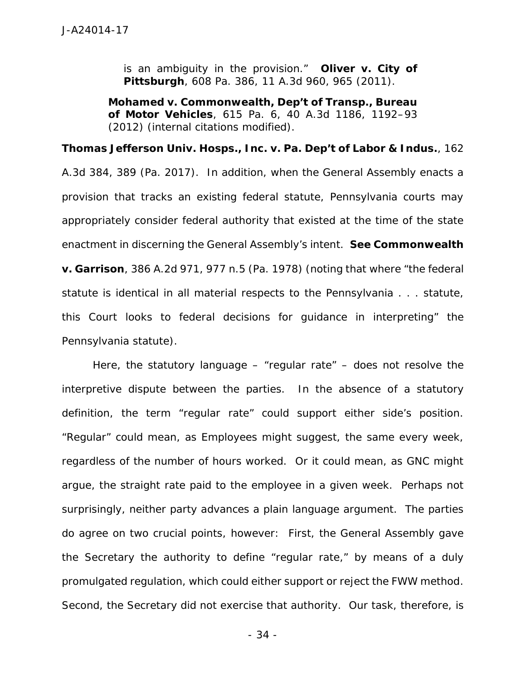is an ambiguity in the provision." *Oliver v. City of Pittsburgh*, 608 Pa. 386, 11 A.3d 960, 965 (2011).

*Mohamed v. Commonwealth, Dep't of Transp., Bureau of Motor Vehicles*, 615 Pa. 6, 40 A.3d 1186, 1192–93 (2012) (internal citations modified).

*Thomas Jefferson Univ. Hosps., Inc. v. Pa. Dep't of Labor & Indus.*, 162 A.3d 384, 389 (Pa. 2017). In addition, when the General Assembly enacts a provision that tracks an existing federal statute, Pennsylvania courts may appropriately consider federal authority that existed at the time of the state enactment in discerning the General Assembly's intent. *See Commonwealth v. Garrison*, 386 A.2d 971, 977 n.5 (Pa. 1978) (noting that where "the federal statute is identical in all material respects to the Pennsylvania . . . statute, this Court looks to federal decisions for guidance in interpreting" the Pennsylvania statute).

Here, the statutory language – "regular rate" – does not resolve the interpretive dispute between the parties. In the absence of a statutory definition, the term "regular rate" could support either side's position. "Regular" could mean, as Employees might suggest, the same every week, regardless of the number of hours worked. Or it could mean, as GNC might argue, the straight rate paid to the employee in a given week. Perhaps not surprisingly, neither party advances a plain language argument. The parties do agree on two crucial points, however: First, the General Assembly gave the Secretary the authority to define "regular rate," by means of a duly promulgated regulation, which could either support or reject the FWW method. Second, the Secretary did not exercise that authority. Our task, therefore, is

- 34 -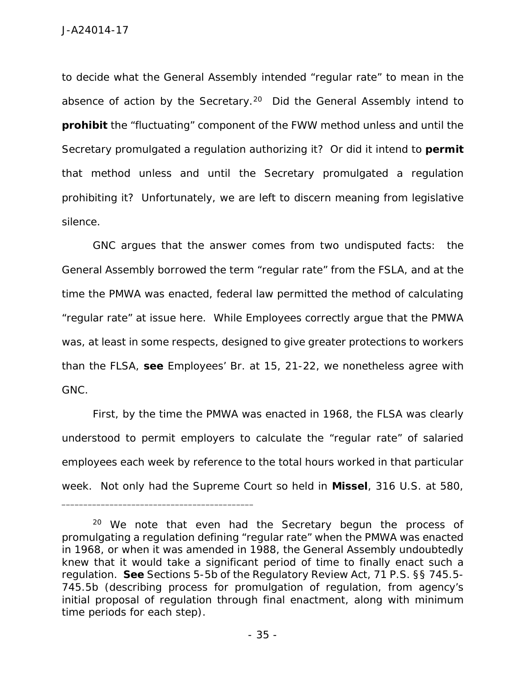to decide what the General Assembly intended "regular rate" to mean in the absence of action by the Secretary.<sup>20</sup> Did the General Assembly intend to **prohibit** the "fluctuating" component of the FWW method unless and until the Secretary promulgated a regulation authorizing it? Or did it intend to **permit** that method unless and until the Secretary promulgated a regulation prohibiting it? Unfortunately, we are left to discern meaning from legislative silence.

GNC argues that the answer comes from two undisputed facts: the General Assembly borrowed the term "regular rate" from the FSLA, and at the time the PMWA was enacted, federal law permitted the method of calculating "regular rate" at issue here. While Employees correctly argue that the PMWA was, at least in some respects, designed to give greater protections to workers than the FLSA, *see* Employees' Br. at 15, 21-22, we nonetheless agree with GNC.

First, by the time the PMWA was enacted in 1968, the FLSA was clearly understood to permit employers to calculate the "regular rate" of salaried employees each week by reference to the total hours worked in that particular week. Not only had the Supreme Court so held in *Missel*, 316 U.S. at 580,

 $20$  We note that even had the Secretary begun the process of promulgating a regulation defining "regular rate" when the PMWA was enacted in 1968, or when it was amended in 1988, the General Assembly undoubtedly knew that it would take a significant period of time to finally enact such a regulation. *See* Sections 5-5b of the Regulatory Review Act, 71 P.S. §§ 745.5- 745.5b (describing process for promulgation of regulation, from agency's initial proposal of regulation through final enactment, along with minimum time periods for each step).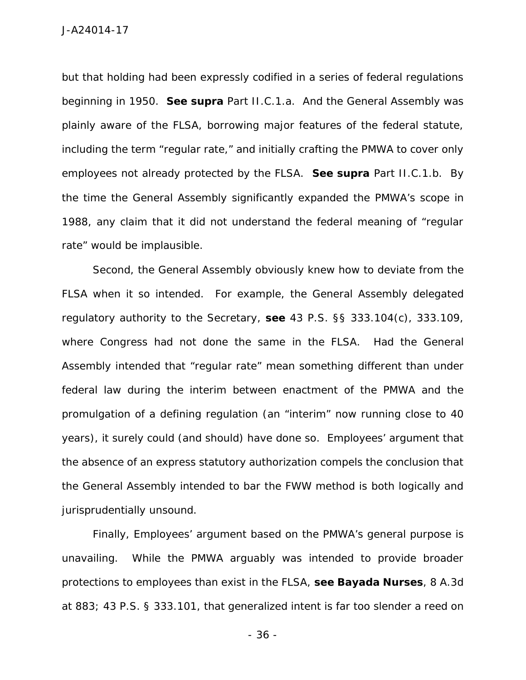but that holding had been expressly codified in a series of federal regulations beginning in 1950. *See supra* Part II.C.1.a. And the General Assembly was plainly aware of the FLSA, borrowing major features of the federal statute, including the term "regular rate," and initially crafting the PMWA to cover only employees not already protected by the FLSA. *See supra* Part II.C.1.b. By the time the General Assembly significantly expanded the PMWA's scope in 1988, any claim that it did not understand the federal meaning of "regular rate" would be implausible.

Second, the General Assembly obviously knew how to deviate from the FLSA when it so intended. For example, the General Assembly delegated regulatory authority to the Secretary, *see* 43 P.S. §§ 333.104(c), 333.109, where Congress had not done the same in the FLSA. Had the General Assembly intended that "regular rate" mean something different than under federal law during the interim between enactment of the PMWA and the promulgation of a defining regulation (an "interim" now running close to 40 years), it surely could (and should) have done so. Employees' argument that the absence of an express statutory authorization compels the conclusion that the General Assembly intended to bar the FWW method is both logically and jurisprudentially unsound.

Finally, Employees' argument based on the PMWA's general purpose is unavailing. While the PMWA arguably was intended to provide broader protections to employees than exist in the FLSA, *see Bayada Nurses*, 8 A.3d at 883; 43 P.S. § 333.101, that generalized intent is far too slender a reed on

- 36 -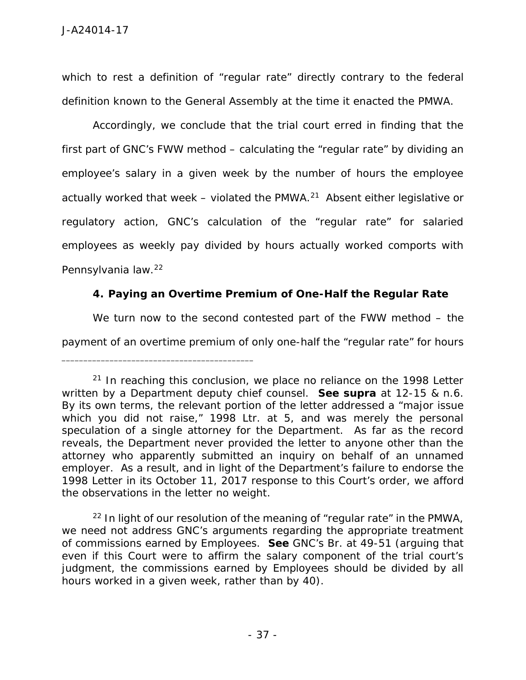which to rest a definition of "regular rate" directly contrary to the federal definition known to the General Assembly at the time it enacted the PMWA.

Accordingly, we conclude that the trial court erred in finding that the first part of GNC's FWW method – calculating the "regular rate" by dividing an employee's salary in a given week by the number of hours the employee actually worked that week – violated the PMWA.<sup>21</sup> Absent either legislative or regulatory action, GNC's calculation of the "regular rate" for salaried employees as weekly pay divided by hours actually worked comports with Pennsylvania law.<sup>22</sup>

**4. Paying an Overtime Premium of One-Half the Regular Rate**

We turn now to the second contested part of the FWW method – the

payment of an overtime premium of only one-half the "regular rate" for hours

 $21$  In reaching this conclusion, we place no reliance on the 1998 Letter written by a Department deputy chief counsel. *See supra* at 12-15 & n.6. By its own terms, the relevant portion of the letter addressed a "major issue which you did not raise," 1998 Ltr. at 5, and was merely the personal speculation of a single attorney for the Department. As far as the record reveals, the Department never provided the letter to anyone other than the attorney who apparently submitted an inquiry on behalf of an unnamed employer. As a result, and in light of the Department's failure to endorse the 1998 Letter in its October 11, 2017 response to this Court's order, we afford the observations in the letter no weight.

 $22$  In light of our resolution of the meaning of "regular rate" in the PMWA, we need not address GNC's arguments regarding the appropriate treatment of commissions earned by Employees. *See* GNC's Br. at 49-51 (arguing that even if this Court were to affirm the salary component of the trial court's judgment, the commissions earned by Employees should be divided by all hours worked in a given week, rather than by 40).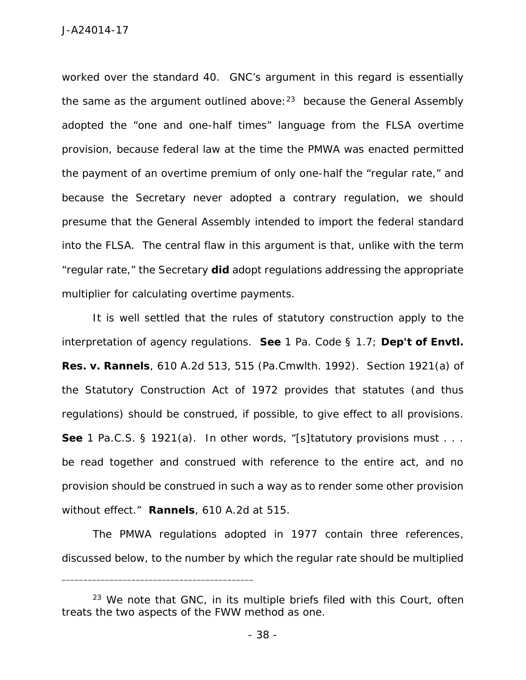worked over the standard 40. GNC's argument in this regard is essentially the same as the argument outlined above:  $23$  because the General Assembly adopted the "one and one-half times" language from the FLSA overtime provision, because federal law at the time the PMWA was enacted permitted the payment of an overtime premium of only one-half the "regular rate," and because the Secretary never adopted a contrary regulation, we should presume that the General Assembly intended to import the federal standard into the FLSA. The central flaw in this argument is that, unlike with the term "regular rate," the Secretary **did** adopt regulations addressing the appropriate multiplier for calculating overtime payments.

It is well settled that the rules of statutory construction apply to the interpretation of agency regulations. *See* 1 Pa. Code § 1.7; *Dep't of Envtl. Res. v. Rannels*, 610 A.2d 513, 515 (Pa.Cmwlth. 1992). Section 1921(a) of the Statutory Construction Act of 1972 provides that statutes (and thus regulations) should be construed, if possible, to give effect to all provisions. *See* 1 Pa.C.S. § 1921(a). In other words, "[s]tatutory provisions must . . . be read together and construed with reference to the entire act, and no provision should be construed in such a way as to render some other provision without effect." *Rannels*, 610 A.2d at 515.

The PMWA regulations adopted in 1977 contain three references, discussed below, to the number by which the regular rate should be multiplied

<sup>&</sup>lt;sup>23</sup> We note that GNC, in its multiple briefs filed with this Court, often treats the two aspects of the FWW method as one.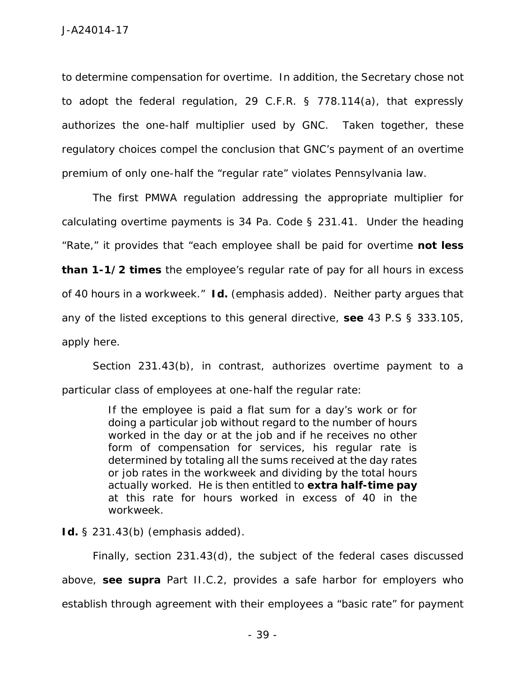to determine compensation for overtime. In addition, the Secretary chose not to adopt the federal regulation, 29 C.F.R. § 778.114(a), that expressly authorizes the one-half multiplier used by GNC. Taken together, these regulatory choices compel the conclusion that GNC's payment of an overtime premium of only one-half the "regular rate" violates Pennsylvania law.

The first PMWA regulation addressing the appropriate multiplier for calculating overtime payments is 34 Pa. Code § 231.41. Under the heading "Rate," it provides that "each employee shall be paid for overtime **not less than 1-1/2 times** the employee's regular rate of pay for all hours in excess of 40 hours in a workweek." *Id.* (emphasis added). Neither party argues that any of the listed exceptions to this general directive, *see* 43 P.S § 333.105, apply here.

Section 231.43(b), in contrast, authorizes overtime payment to a particular class of employees at one-half the regular rate:

> If the employee is paid a flat sum for a day's work or for doing a particular job without regard to the number of hours worked in the day or at the job and if he receives no other form of compensation for services, his regular rate is determined by totaling all the sums received at the day rates or job rates in the workweek and dividing by the total hours actually worked. He is then entitled to **extra half-time pay** at this rate for hours worked in excess of 40 in the workweek.

*Id.* § 231.43(b) (emphasis added).

Finally, section 231.43(d), the subject of the federal cases discussed above, *see supra* Part II.C.2, provides a safe harbor for employers who establish through agreement with their employees a "basic rate" for payment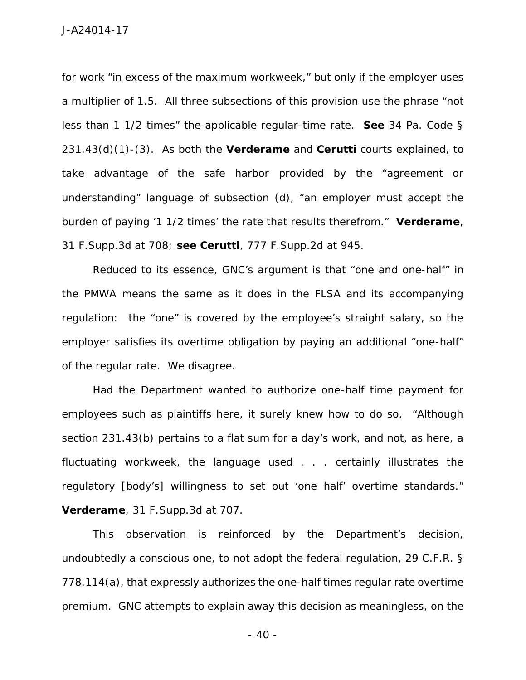for work "in excess of the maximum workweek," but only if the employer uses a multiplier of 1.5. All three subsections of this provision use the phrase "not less than 1 1/2 times" the applicable regular-time rate. *See* 34 Pa. Code § 231.43(d)(1)-(3). As both the *Verderame* and *Cerutti* courts explained, to take advantage of the safe harbor provided by the "agreement or understanding" language of subsection (d), "an employer must accept the burden of paying '1 1/2 times' the rate that results therefrom." *Verderame*, 31 F.Supp.3d at 708; *see Cerutti*, 777 F.Supp.2d at 945.

Reduced to its essence, GNC's argument is that "one and one-half" in the PMWA means the same as it does in the FLSA and its accompanying regulation: the "one" is covered by the employee's straight salary, so the employer satisfies its overtime obligation by paying an additional "one-half" of the regular rate. We disagree.

Had the Department wanted to authorize one-half time payment for employees such as plaintiffs here, it surely knew how to do so. "Although section 231.43(b) pertains to a flat sum for a day's work, and not, as here, a fluctuating workweek, the language used . . . certainly illustrates the regulatory [body's] willingness to set out 'one half' overtime standards." *Verderame*, 31 F.Supp.3d at 707.

This observation is reinforced by the Department's decision, undoubtedly a conscious one, to not adopt the federal regulation, 29 C.F.R. § 778.114(a), that expressly authorizes the one-half times regular rate overtime premium. GNC attempts to explain away this decision as meaningless, on the

 $-40-$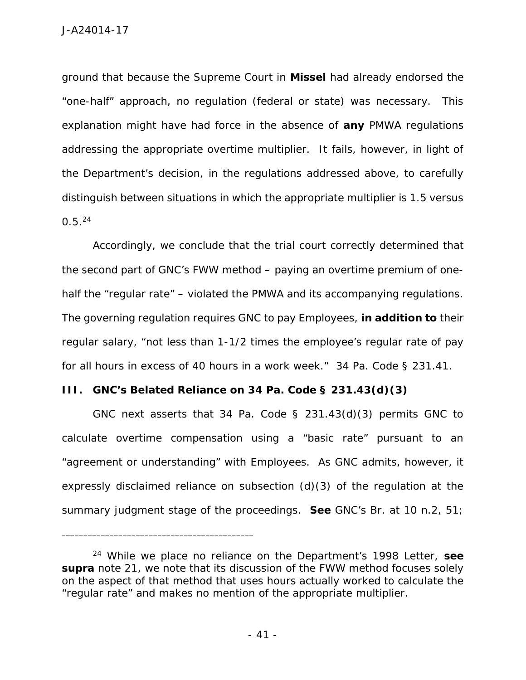ground that because the Supreme Court in *Missel* had already endorsed the "one-half" approach, no regulation (federal or state) was necessary. This explanation might have had force in the absence of **any** PMWA regulations addressing the appropriate overtime multiplier. It fails, however, in light of the Department's decision, in the regulations addressed above, to carefully distinguish between situations in which the appropriate multiplier is 1.5 versus 0.5.<sup>24</sup>

Accordingly, we conclude that the trial court correctly determined that the second part of GNC's FWW method – paying an overtime premium of one half the "regular rate" – violated the PMWA and its accompanying regulations. The governing regulation requires GNC to pay Employees, **in addition to** their regular salary, "not less than 1-1/2 times the employee's regular rate of pay for all hours in excess of 40 hours in a work week." 34 Pa. Code § 231.41.

**III. GNC's Belated Reliance on 34 Pa. Code § 231.43(d)(3)**

\_\_\_\_\_\_\_\_\_\_\_\_\_\_\_\_\_\_\_\_\_\_\_\_\_\_\_\_\_\_\_\_\_\_\_\_\_\_\_\_\_\_\_\_

GNC next asserts that 34 Pa. Code  $\S$  231.43(d)(3) permits GNC to calculate overtime compensation using a "basic rate" pursuant to an "agreement or understanding" with Employees. As GNC admits, however, it expressly disclaimed reliance on subsection (d)(3) of the regulation at the summary judgment stage of the proceedings. *See* GNC's Br. at 10 n.2, 51;

<sup>24</sup> While we place no reliance on the Department's 1998 Letter, *see supra* note 21, we note that its discussion of the FWW method focuses solely on the aspect of that method that uses hours actually worked to calculate the "regular rate" and makes no mention of the appropriate multiplier.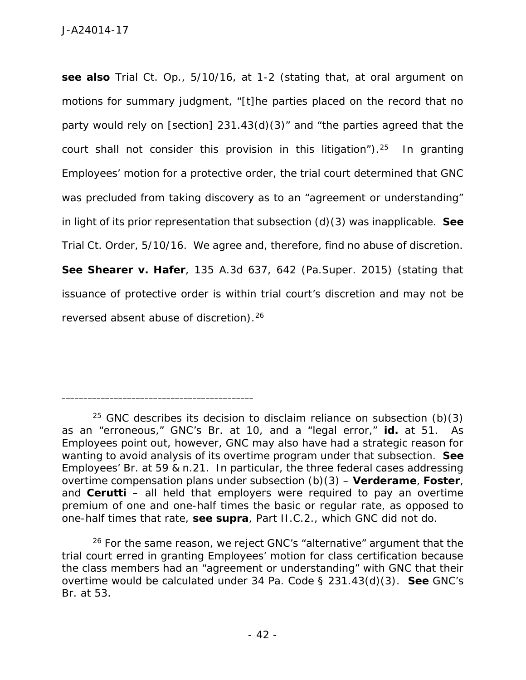*see also* Trial Ct. Op., 5/10/16, at 1-2 (stating that, at oral argument on motions for summary judgment, "[t]he parties placed on the record that no party would rely on [section] 231.43(d)(3)" and "the parties agreed that the court shall not consider this provision in this litigation").<sup>25</sup> In granting Employees' motion for a protective order, the trial court determined that GNC was precluded from taking discovery as to an "agreement or understanding" in light of its prior representation that subsection (d)(3) was inapplicable. *See* Trial Ct. Order, 5/10/16. We agree and, therefore, find no abuse of discretion. *See Shearer v. Hafer*, 135 A.3d 637, 642 (Pa.Super. 2015) (stating that issuance of protective order is within trial court's discretion and may not be reversed absent abuse of discretion).<sup>26</sup>

<sup>&</sup>lt;sup>25</sup> GNC describes its decision to disclaim reliance on subsection (b)(3) as an "erroneous," GNC's Br. at 10, and a "legal error," *id.* at 51. As Employees point out, however, GNC may also have had a strategic reason for wanting to avoid analysis of its overtime program under that subsection. *See* Employees' Br. at 59 & n.21. In particular, the three federal cases addressing overtime compensation plans under subsection (b)(3) – *Verderame*, *Foster*, and *Cerutti* – all held that employers were required to pay an overtime premium of one and one-half times the basic or regular rate, as opposed to one-half times that rate, *see supra*, Part II.C.2., which GNC did not do.

 $26$  For the same reason, we reject GNC's "alternative" argument that the trial court erred in granting Employees' motion for class certification because the class members had an "agreement or understanding" with GNC that their overtime would be calculated under 34 Pa. Code § 231.43(d)(3). *See* GNC's Br. at 53.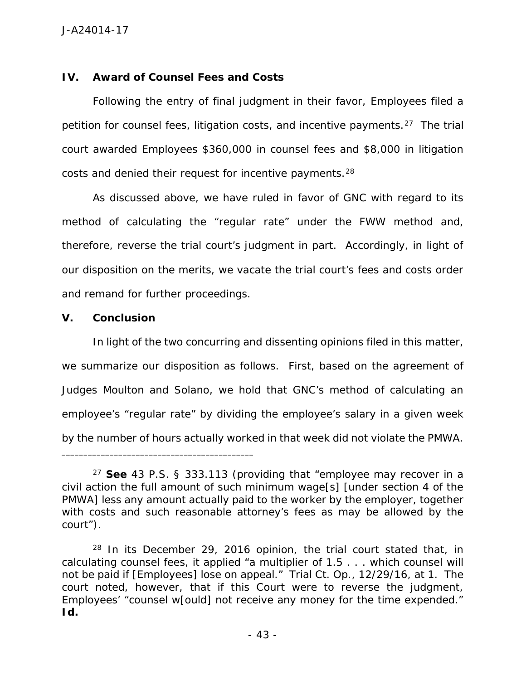## **IV. Award of Counsel Fees and Costs**

\_\_\_\_\_\_\_\_\_\_\_\_\_\_\_\_\_\_\_\_\_\_\_\_\_\_\_\_\_\_\_\_\_\_\_\_\_\_\_\_\_\_\_\_

Following the entry of final judgment in their favor, Employees filed a petition for counsel fees, litigation costs, and incentive payments.<sup>27</sup> The trial court awarded Employees \$360,000 in counsel fees and \$8,000 in litigation costs and denied their request for incentive payments.<sup>28</sup>

As discussed above, we have ruled in favor of GNC with regard to its method of calculating the "regular rate" under the FWW method and, therefore, reverse the trial court's judgment in part. Accordingly, in light of our disposition on the merits, we vacate the trial court's fees and costs order and remand for further proceedings.

**V. Conclusion**

In light of the two concurring and dissenting opinions filed in this matter, we summarize our disposition as follows. First, based on the agreement of Judges Moulton and Solano, we hold that GNC's method of calculating an employee's "regular rate" by dividing the employee's salary in a given week by the number of hours actually worked in that week did not violate the PMWA.

<sup>27</sup> *See* 43 P.S. § 333.113 (providing that "employee may recover in a civil action the full amount of such minimum wage[s] [under section 4 of the PMWA] less any amount actually paid to the worker by the employer, together with costs and such reasonable attorney's fees as may be allowed by the court").

 $28$  In its December 29, 2016 opinion, the trial court stated that, in calculating counsel fees, it applied "a multiplier of 1.5 . . . which counsel will not be paid if [Employees] lose on appeal." Trial Ct. Op., 12/29/16, at 1. The court noted, however, that if this Court were to reverse the judgment, Employees' "counsel w[ould] not receive any money for the time expended." *Id.*